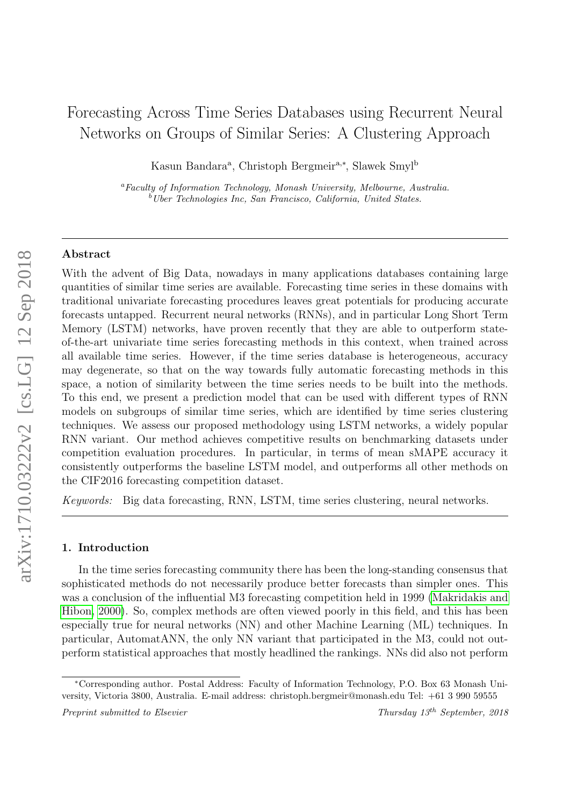# Forecasting Across Time Series Databases using Recurrent Neural Networks on Groups of Similar Series: A Clustering Approach

Kasun Bandara<sup>a</sup>, Christoph Bergmeir<sup>a,\*</sup>, Slawek Smyl<sup>b</sup>

<sup>a</sup>Faculty of Information Technology, Monash University, Melbourne, Australia.  $b$ <sup>b</sup>Uber Technologies Inc, San Francisco, California, United States.

#### Abstract

With the advent of Big Data, nowadays in many applications databases containing large quantities of similar time series are available. Forecasting time series in these domains with traditional univariate forecasting procedures leaves great potentials for producing accurate forecasts untapped. Recurrent neural networks (RNNs), and in particular Long Short Term Memory (LSTM) networks, have proven recently that they are able to outperform stateof-the-art univariate time series forecasting methods in this context, when trained across all available time series. However, if the time series database is heterogeneous, accuracy may degenerate, so that on the way towards fully automatic forecasting methods in this space, a notion of similarity between the time series needs to be built into the methods. To this end, we present a prediction model that can be used with different types of RNN models on subgroups of similar time series, which are identified by time series clustering techniques. We assess our proposed methodology using LSTM networks, a widely popular RNN variant. Our method achieves competitive results on benchmarking datasets under competition evaluation procedures. In particular, in terms of mean sMAPE accuracy it consistently outperforms the baseline LSTM model, and outperforms all other methods on the CIF2016 forecasting competition dataset.

Keywords: Big data forecasting, RNN, LSTM, time series clustering, neural networks.

# <span id="page-0-0"></span>1. Introduction

In the time series forecasting community there has been the long-standing consensus that sophisticated methods do not necessarily produce better forecasts than simpler ones. This was a conclusion of the influential M3 forecasting competition held in 1999 [\(Makridakis and](#page-31-0) [Hibon, 2000\)](#page-31-0). So, complex methods are often viewed poorly in this field, and this has been especially true for neural networks (NN) and other Machine Learning (ML) techniques. In particular, AutomatANN, the only NN variant that participated in the M3, could not outperform statistical approaches that mostly headlined the rankings. NNs did also not perform

<sup>∗</sup>Corresponding author. Postal Address: Faculty of Information Technology, P.O. Box 63 Monash University, Victoria 3800, Australia. E-mail address: christoph.bergmeir@monash.edu Tel: +61 3 990 59555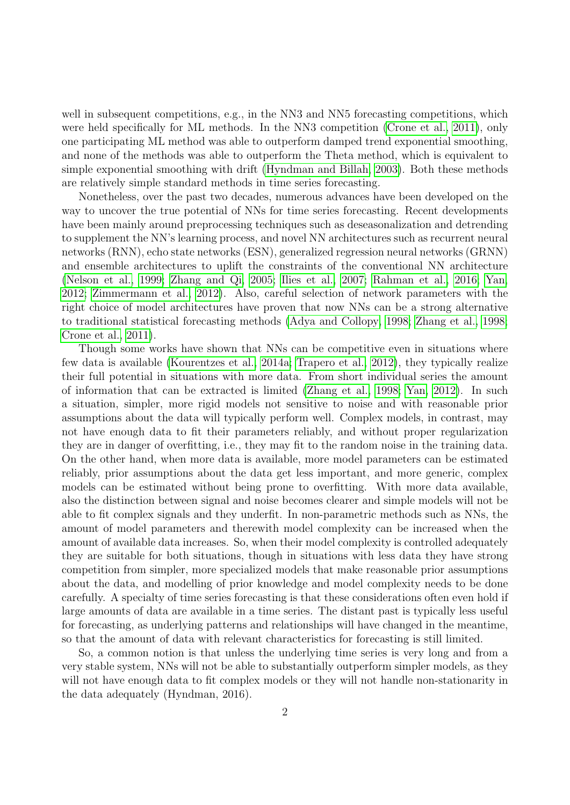well in subsequent competitions, e.g., in the NN3 and NN5 forecasting competitions, which were held specifically for ML methods. In the NN3 competition [\(Crone et al., 2011\)](#page-29-0), only one participating ML method was able to outperform damped trend exponential smoothing, and none of the methods was able to outperform the Theta method, which is equivalent to simple exponential smoothing with drift [\(Hyndman and Billah, 2003\)](#page-30-0). Both these methods are relatively simple standard methods in time series forecasting.

Nonetheless, over the past two decades, numerous advances have been developed on the way to uncover the true potential of NNs for time series forecasting. Recent developments have been mainly around preprocessing techniques such as deseasonalization and detrending to supplement the NN's learning process, and novel NN architectures such as recurrent neural networks (RNN), echo state networks (ESN), generalized regression neural networks (GRNN) and ensemble architectures to uplift the constraints of the conventional NN architecture [\(Nelson et al., 1999;](#page-31-1) [Zhang and Qi, 2005;](#page-32-0) [Ilies et al., 2007;](#page-30-1) [Rahman et al., 2016;](#page-31-2) [Yan,](#page-32-1) [2012;](#page-32-1) [Zimmermann et al., 2012\)](#page-32-2). Also, careful selection of network parameters with the right choice of model architectures have proven that now NNs can be a strong alternative to traditional statistical forecasting methods [\(Adya and Collopy, 1998;](#page-29-1) [Zhang et al., 1998;](#page-32-3) [Crone et al., 2011\)](#page-29-0).

Though some works have shown that NNs can be competitive even in situations where few data is available [\(Kourentzes et al., 2014a;](#page-30-2) [Trapero et al., 2012\)](#page-32-4), they typically realize their full potential in situations with more data. From short individual series the amount of information that can be extracted is limited [\(Zhang et al., 1998;](#page-32-3) [Yan, 2012\)](#page-32-1). In such a situation, simpler, more rigid models not sensitive to noise and with reasonable prior assumptions about the data will typically perform well. Complex models, in contrast, may not have enough data to fit their parameters reliably, and without proper regularization they are in danger of overfitting, i.e., they may fit to the random noise in the training data. On the other hand, when more data is available, more model parameters can be estimated reliably, prior assumptions about the data get less important, and more generic, complex models can be estimated without being prone to overfitting. With more data available, also the distinction between signal and noise becomes clearer and simple models will not be able to fit complex signals and they underfit. In non-parametric methods such as NNs, the amount of model parameters and therewith model complexity can be increased when the amount of available data increases. So, when their model complexity is controlled adequately they are suitable for both situations, though in situations with less data they have strong competition from simpler, more specialized models that make reasonable prior assumptions about the data, and modelling of prior knowledge and model complexity needs to be done carefully. A specialty of time series forecasting is that these considerations often even hold if large amounts of data are available in a time series. The distant past is typically less useful for forecasting, as underlying patterns and relationships will have changed in the meantime, so that the amount of data with relevant characteristics for forecasting is still limited.

So, a common notion is that unless the underlying time series is very long and from a very stable system, NNs will not be able to substantially outperform simpler models, as they will not have enough data to fit complex models or they will not handle non-stationarity in the data adequately (Hyndman, 2016).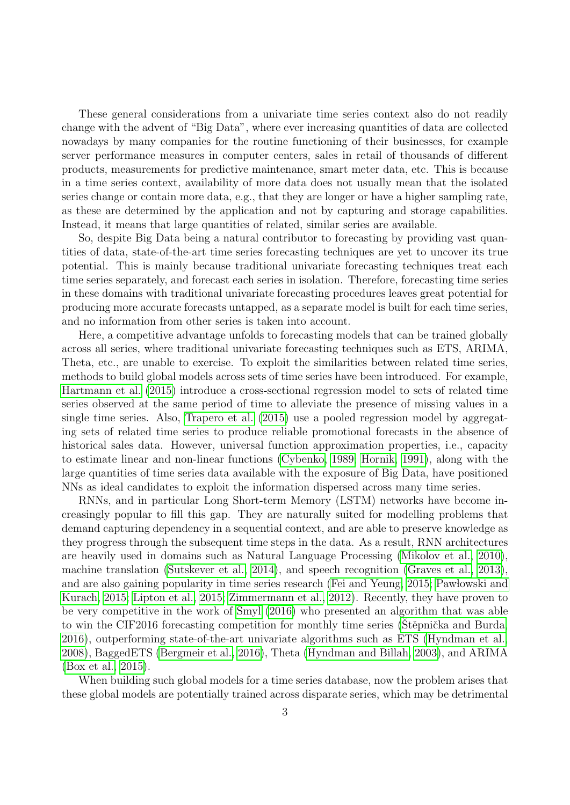These general considerations from a univariate time series context also do not readily change with the advent of "Big Data", where ever increasing quantities of data are collected nowadays by many companies for the routine functioning of their businesses, for example server performance measures in computer centers, sales in retail of thousands of different products, measurements for predictive maintenance, smart meter data, etc. This is because in a time series context, availability of more data does not usually mean that the isolated series change or contain more data, e.g., that they are longer or have a higher sampling rate, as these are determined by the application and not by capturing and storage capabilities. Instead, it means that large quantities of related, similar series are available.

So, despite Big Data being a natural contributor to forecasting by providing vast quantities of data, state-of-the-art time series forecasting techniques are yet to uncover its true potential. This is mainly because traditional univariate forecasting techniques treat each time series separately, and forecast each series in isolation. Therefore, forecasting time series in these domains with traditional univariate forecasting procedures leaves great potential for producing more accurate forecasts untapped, as a separate model is built for each time series, and no information from other series is taken into account.

Here, a competitive advantage unfolds to forecasting models that can be trained globally across all series, where traditional univariate forecasting techniques such as ETS, ARIMA, Theta, etc., are unable to exercise. To exploit the similarities between related time series, methods to build global models across sets of time series have been introduced. For example, [Hartmann et al.](#page-30-3) [\(2015\)](#page-30-3) introduce a cross-sectional regression model to sets of related time series observed at the same period of time to alleviate the presence of missing values in a single time series. Also, [Trapero et al.](#page-32-5) [\(2015\)](#page-32-5) use a pooled regression model by aggregating sets of related time series to produce reliable promotional forecasts in the absence of historical sales data. However, universal function approximation properties, i.e., capacity to estimate linear and non-linear functions [\(Cybenko, 1989;](#page-29-2) [Hornik, 1991\)](#page-30-4), along with the large quantities of time series data available with the exposure of Big Data, have positioned NNs as ideal candidates to exploit the information dispersed across many time series.

RNNs, and in particular Long Short-term Memory (LSTM) networks have become increasingly popular to fill this gap. They are naturally suited for modelling problems that demand capturing dependency in a sequential context, and are able to preserve knowledge as they progress through the subsequent time steps in the data. As a result, RNN architectures are heavily used in domains such as Natural Language Processing [\(Mikolov et al., 2010\)](#page-31-3), machine translation [\(Sutskever et al., 2014\)](#page-31-4), and speech recognition [\(Graves et al., 2013\)](#page-30-5), and are also gaining popularity in time series research [\(Fei and Yeung, 2015;](#page-29-3) Pawlowski and [Kurach, 2015;](#page-31-5) [Lipton et al., 2015;](#page-30-6) [Zimmermann et al., 2012\)](#page-32-2). Recently, they have proven to be very competitive in the work of [Smyl](#page-31-6) [\(2016\)](#page-31-6) who presented an algorithm that was able to win the CIF2016 forecasting competition for monthly time series (Stěpnička and Burda, [2016\)](#page-31-7), outperforming state-of-the-art univariate algorithms such as ETS [\(Hyndman et al.,](#page-30-7) [2008\)](#page-30-7), BaggedETS [\(Bergmeir et al., 2016\)](#page-29-4), Theta [\(Hyndman and Billah, 2003\)](#page-30-0), and ARIMA [\(Box et al., 2015\)](#page-29-5).

When building such global models for a time series database, now the problem arises that these global models are potentially trained across disparate series, which may be detrimental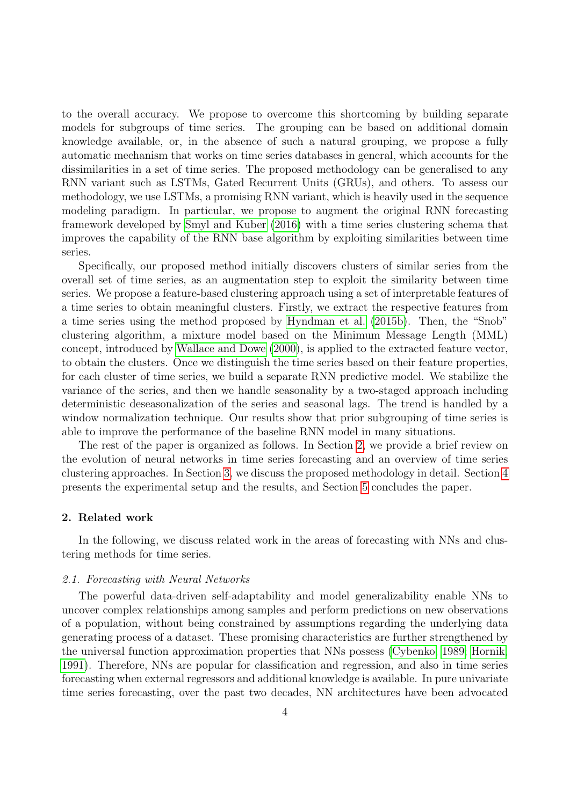to the overall accuracy. We propose to overcome this shortcoming by building separate models for subgroups of time series. The grouping can be based on additional domain knowledge available, or, in the absence of such a natural grouping, we propose a fully automatic mechanism that works on time series databases in general, which accounts for the dissimilarities in a set of time series. The proposed methodology can be generalised to any RNN variant such as LSTMs, Gated Recurrent Units (GRUs), and others. To assess our methodology, we use LSTMs, a promising RNN variant, which is heavily used in the sequence modeling paradigm. In particular, we propose to augment the original RNN forecasting framework developed by [Smyl and Kuber](#page-31-8) [\(2016\)](#page-31-8) with a time series clustering schema that improves the capability of the RNN base algorithm by exploiting similarities between time series.

Specifically, our proposed method initially discovers clusters of similar series from the overall set of time series, as an augmentation step to exploit the similarity between time series. We propose a feature-based clustering approach using a set of interpretable features of a time series to obtain meaningful clusters. Firstly, we extract the respective features from a time series using the method proposed by [Hyndman et al.](#page-30-8) [\(2015b\)](#page-30-8). Then, the "Snob" clustering algorithm, a mixture model based on the Minimum Message Length (MML) concept, introduced by [Wallace and Dowe](#page-32-6) [\(2000\)](#page-32-6), is applied to the extracted feature vector, to obtain the clusters. Once we distinguish the time series based on their feature properties, for each cluster of time series, we build a separate RNN predictive model. We stabilize the variance of the series, and then we handle seasonality by a two-staged approach including deterministic deseasonalization of the series and seasonal lags. The trend is handled by a window normalization technique. Our results show that prior subgrouping of time series is able to improve the performance of the baseline RNN model in many situations.

The rest of the paper is organized as follows. In Section [2,](#page-3-0) we provide a brief review on the evolution of neural networks in time series forecasting and an overview of time series clustering approaches. In Section [3,](#page-6-0) we discuss the proposed methodology in detail. Section [4](#page-19-0) presents the experimental setup and the results, and Section [5](#page-28-0) concludes the paper.

# <span id="page-3-0"></span>2. Related work

In the following, we discuss related work in the areas of forecasting with NNs and clustering methods for time series.

#### 2.1. Forecasting with Neural Networks

The powerful data-driven self-adaptability and model generalizability enable NNs to uncover complex relationships among samples and perform predictions on new observations of a population, without being constrained by assumptions regarding the underlying data generating process of a dataset. These promising characteristics are further strengthened by the universal function approximation properties that NNs possess [\(Cybenko, 1989;](#page-29-2) [Hornik,](#page-30-4) [1991\)](#page-30-4). Therefore, NNs are popular for classification and regression, and also in time series forecasting when external regressors and additional knowledge is available. In pure univariate time series forecasting, over the past two decades, NN architectures have been advocated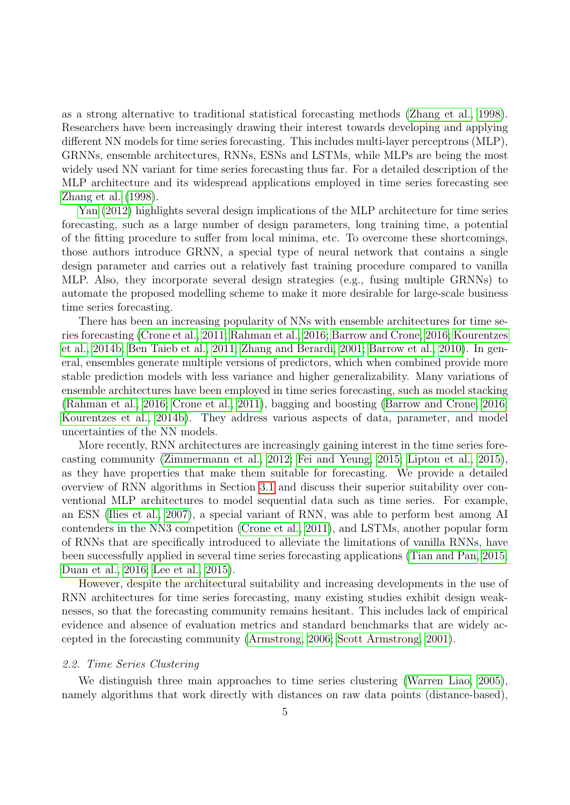as a strong alternative to traditional statistical forecasting methods [\(Zhang et al., 1998\)](#page-32-3). Researchers have been increasingly drawing their interest towards developing and applying different NN models for time series forecasting. This includes multi-layer perceptrons (MLP), GRNNs, ensemble architectures, RNNs, ESNs and LSTMs, while MLPs are being the most widely used NN variant for time series forecasting thus far. For a detailed description of the MLP architecture and its widespread applications employed in time series forecasting see [Zhang et al.](#page-32-3) [\(1998\)](#page-32-3).

[Yan](#page-32-1) [\(2012\)](#page-32-1) highlights several design implications of the MLP architecture for time series forecasting, such as a large number of design parameters, long training time, a potential of the fitting procedure to suffer from local minima, etc. To overcome these shortcomings, those authors introduce GRNN, a special type of neural network that contains a single design parameter and carries out a relatively fast training procedure compared to vanilla MLP. Also, they incorporate several design strategies (e.g., fusing multiple GRNNs) to automate the proposed modelling scheme to make it more desirable for large-scale business time series forecasting.

There has been an increasing popularity of NNs with ensemble architectures for time series forecasting [\(Crone et al., 2011;](#page-29-0) [Rahman et al., 2016;](#page-31-2) [Barrow and Crone, 2016;](#page-29-6) [Kourentzes](#page-30-9) [et al., 2014b;](#page-30-9) [Ben Taieb et al., 2011;](#page-29-7) [Zhang and Berardi, 2001;](#page-32-7) [Barrow et al., 2010\)](#page-29-8). In general, ensembles generate multiple versions of predictors, which when combined provide more stable prediction models with less variance and higher generalizability. Many variations of ensemble architectures have been employed in time series forecasting, such as model stacking [\(Rahman et al., 2016;](#page-31-2) [Crone et al., 2011\)](#page-29-0), bagging and boosting [\(Barrow and Crone, 2016;](#page-29-6) [Kourentzes et al., 2014b\)](#page-30-9). They address various aspects of data, parameter, and model uncertainties of the NN models.

More recently, RNN architectures are increasingly gaining interest in the time series forecasting community [\(Zimmermann et al., 2012;](#page-32-2) [Fei and Yeung, 2015;](#page-29-3) [Lipton et al., 2015\)](#page-30-6), as they have properties that make them suitable for forecasting. We provide a detailed overview of RNN algorithms in Section [3.1](#page-6-1) and discuss their superior suitability over conventional MLP architectures to model sequential data such as time series. For example, an ESN [\(Ilies et al., 2007\)](#page-30-1), a special variant of RNN, was able to perform best among AI contenders in the NN3 competition [\(Crone et al., 2011\)](#page-29-0), and LSTMs, another popular form of RNNs that are specifically introduced to alleviate the limitations of vanilla RNNs, have been successfully applied in several time series forecasting applications [\(Tian and Pan, 2015;](#page-32-8) [Duan et al., 2016;](#page-29-9) [Lee et al., 2015\)](#page-30-10).

However, despite the architectural suitability and increasing developments in the use of RNN architectures for time series forecasting, many existing studies exhibit design weaknesses, so that the forecasting community remains hesitant. This includes lack of empirical evidence and absence of evaluation metrics and standard benchmarks that are widely accepted in the forecasting community [\(Armstrong, 2006;](#page-29-10) [Scott Armstrong, 2001\)](#page-31-9).

### <span id="page-4-0"></span>2.2. Time Series Clustering

We distinguish three main approaches to time series clustering [\(Warren Liao, 2005\)](#page-32-9), namely algorithms that work directly with distances on raw data points (distance-based),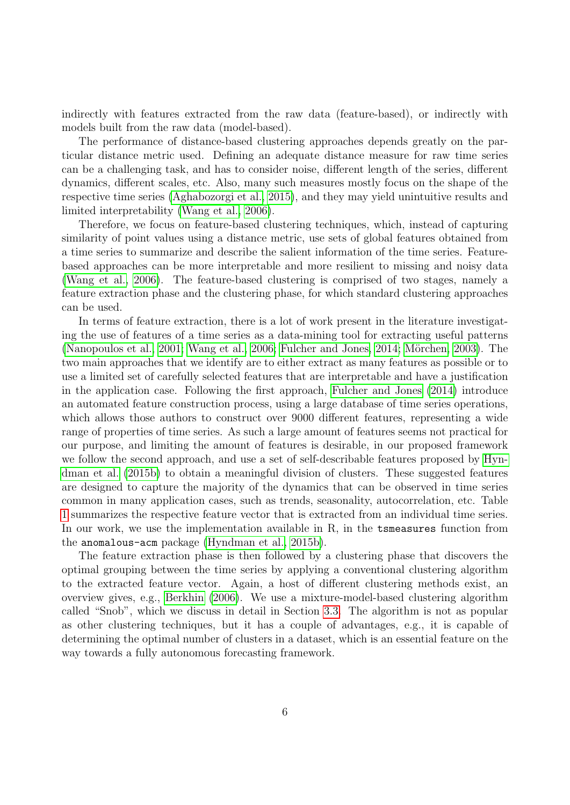indirectly with features extracted from the raw data (feature-based), or indirectly with models built from the raw data (model-based).

The performance of distance-based clustering approaches depends greatly on the particular distance metric used. Defining an adequate distance measure for raw time series can be a challenging task, and has to consider noise, different length of the series, different dynamics, different scales, etc. Also, many such measures mostly focus on the shape of the respective time series [\(Aghabozorgi et al., 2015\)](#page-29-11), and they may yield unintuitive results and limited interpretability [\(Wang et al., 2006\)](#page-32-10).

Therefore, we focus on feature-based clustering techniques, which, instead of capturing similarity of point values using a distance metric, use sets of global features obtained from a time series to summarize and describe the salient information of the time series. Featurebased approaches can be more interpretable and more resilient to missing and noisy data [\(Wang et al., 2006\)](#page-32-10). The feature-based clustering is comprised of two stages, namely a feature extraction phase and the clustering phase, for which standard clustering approaches can be used.

In terms of feature extraction, there is a lot of work present in the literature investigating the use of features of a time series as a data-mining tool for extracting useful patterns [\(Nanopoulos et al., 2001;](#page-31-10) [Wang et al., 2006;](#page-32-10) [Fulcher and Jones, 2014;](#page-30-11) Mörchen, 2003). The two main approaches that we identify are to either extract as many features as possible or to use a limited set of carefully selected features that are interpretable and have a justification in the application case. Following the first approach, [Fulcher and Jones](#page-30-11) [\(2014\)](#page-30-11) introduce an automated feature construction process, using a large database of time series operations, which allows those authors to construct over 9000 different features, representing a wide range of properties of time series. As such a large amount of features seems not practical for our purpose, and limiting the amount of features is desirable, in our proposed framework we follow the second approach, and use a set of self-describable features proposed by [Hyn](#page-30-8)[dman et al.](#page-30-8) [\(2015b\)](#page-30-8) to obtain a meaningful division of clusters. These suggested features are designed to capture the majority of the dynamics that can be observed in time series common in many application cases, such as trends, seasonality, autocorrelation, etc. Table [1](#page-6-2) summarizes the respective feature vector that is extracted from an individual time series. In our work, we use the implementation available in R, in the tsmeasures function from the anomalous-acm package [\(Hyndman et al., 2015b\)](#page-30-8).

The feature extraction phase is then followed by a clustering phase that discovers the optimal grouping between the time series by applying a conventional clustering algorithm to the extracted feature vector. Again, a host of different clustering methods exist, an overview gives, e.g., [Berkhin](#page-29-12) [\(2006\)](#page-29-12). We use a mixture-model-based clustering algorithm called "Snob", which we discuss in detail in Section [3.3.](#page-11-0) The algorithm is not as popular as other clustering techniques, but it has a couple of advantages, e.g., it is capable of determining the optimal number of clusters in a dataset, which is an essential feature on the way towards a fully autonomous forecasting framework.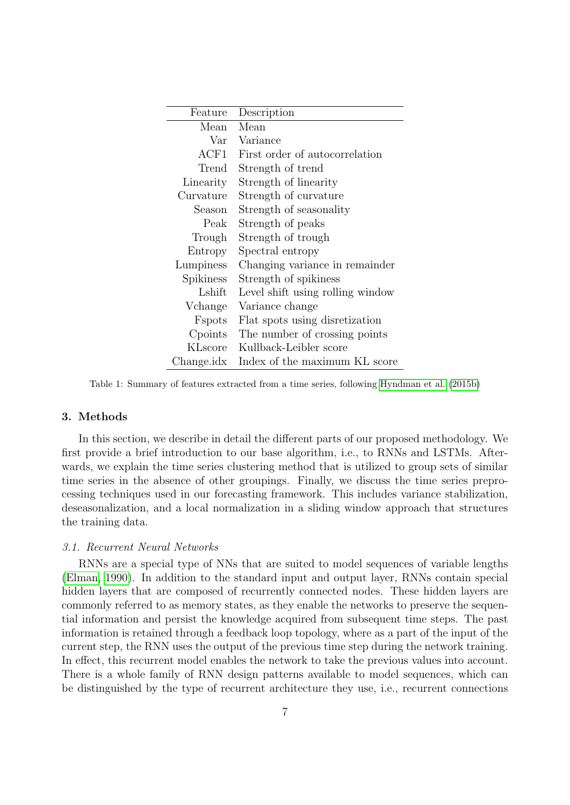| Feature              | Description                      |
|----------------------|----------------------------------|
| Mean                 | Mean                             |
| $\operatorname{Var}$ | Variance                         |
| ACF1                 | First order of autocorrelation   |
| Trend                | Strength of trend                |
| Linearity            | Strength of linearity            |
| Curvature            | Strength of curvature            |
| Season               | Strength of seasonality          |
| Peak                 | Strength of peaks                |
| Trough               | Strength of trough               |
| Entropy              | Spectral entropy                 |
| Lumpiness            | Changing variance in remainder   |
| Spikiness            | Strength of spikiness            |
| Lshift               | Level shift using rolling window |
| Vchange              | Variance change                  |
| Fspots               | Flat spots using disretization   |
| Cpoints              | The number of crossing points    |
| KLscore              | Kullback-Leibler score           |
| Change.idx           | Index of the maximum KL score    |

<span id="page-6-2"></span>Table 1: Summary of features extracted from a time series, following [Hyndman et al.](#page-30-8) [\(2015b\)](#page-30-8)

# <span id="page-6-0"></span>3. Methods

In this section, we describe in detail the different parts of our proposed methodology. We first provide a brief introduction to our base algorithm, i.e., to RNNs and LSTMs. Afterwards, we explain the time series clustering method that is utilized to group sets of similar time series in the absence of other groupings. Finally, we discuss the time series preprocessing techniques used in our forecasting framework. This includes variance stabilization, deseasonalization, and a local normalization in a sliding window approach that structures the training data.

#### <span id="page-6-1"></span>3.1. Recurrent Neural Networks

RNNs are a special type of NNs that are suited to model sequences of variable lengths [\(Elman, 1990\)](#page-29-13). In addition to the standard input and output layer, RNNs contain special hidden layers that are composed of recurrently connected nodes. These hidden layers are commonly referred to as memory states, as they enable the networks to preserve the sequential information and persist the knowledge acquired from subsequent time steps. The past information is retained through a feedback loop topology, where as a part of the input of the current step, the RNN uses the output of the previous time step during the network training. In effect, this recurrent model enables the network to take the previous values into account. There is a whole family of RNN design patterns available to model sequences, which can be distinguished by the type of recurrent architecture they use, i.e., recurrent connections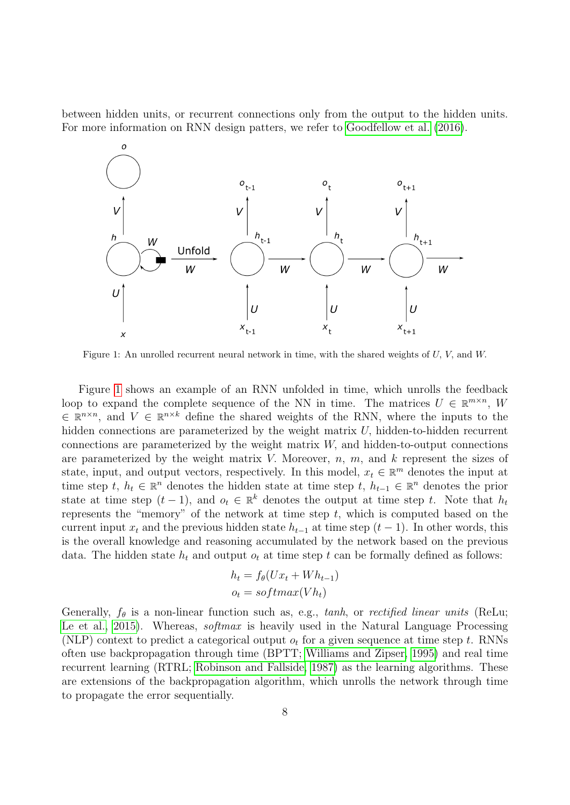between hidden units, or recurrent connections only from the output to the hidden units. For more information on RNN design patters, we refer to [Goodfellow et al.](#page-30-12) [\(2016\)](#page-30-12).



<span id="page-7-0"></span>Figure 1: An unrolled recurrent neural network in time, with the shared weights of U, V, and W.

Figure [1](#page-7-0) shows an example of an RNN unfolded in time, which unrolls the feedback loop to expand the complete sequence of the NN in time. The matrices  $U \in \mathbb{R}^{m \times n}$ , W  $\in \mathbb{R}^{n \times n}$ , and  $V \in \mathbb{R}^{n \times k}$  define the shared weights of the RNN, where the inputs to the hidden connections are parameterized by the weight matrix  $U$ , hidden-to-hidden recurrent connections are parameterized by the weight matrix W, and hidden-to-output connections are parameterized by the weight matrix V. Moreover,  $n, m$ , and  $k$  represent the sizes of state, input, and output vectors, respectively. In this model,  $x_t \in \mathbb{R}^m$  denotes the input at time step t,  $h_t \in \mathbb{R}^n$  denotes the hidden state at time step t,  $h_{t-1} \in \mathbb{R}^n$  denotes the prior state at time step  $(t-1)$ , and  $o_t \in \mathbb{R}^k$  denotes the output at time step t. Note that  $h_t$ represents the "memory" of the network at time step  $t$ , which is computed based on the current input  $x_t$  and the previous hidden state  $h_{t-1}$  at time step  $(t-1)$ . In other words, this is the overall knowledge and reasoning accumulated by the network based on the previous data. The hidden state  $h_t$  and output  $o_t$  at time step t can be formally defined as follows:

$$
h_t = f_{\theta}(Ux_t + Wh_{t-1})
$$

$$
o_t = softmax(Vh_t)
$$

Generally,  $f_{\theta}$  is a non-linear function such as, e.g., tanh, or rectified linear units (ReLu; [Le et al., 2015\)](#page-30-13). Whereas, *softmax* is heavily used in the Natural Language Processing (NLP) context to predict a categorical output  $o_t$  for a given sequence at time step t. RNNs often use backpropagation through time (BPTT; [Williams and Zipser, 1995\)](#page-32-11) and real time recurrent learning (RTRL; [Robinson and Fallside, 1987\)](#page-31-12) as the learning algorithms. These are extensions of the backpropagation algorithm, which unrolls the network through time to propagate the error sequentially.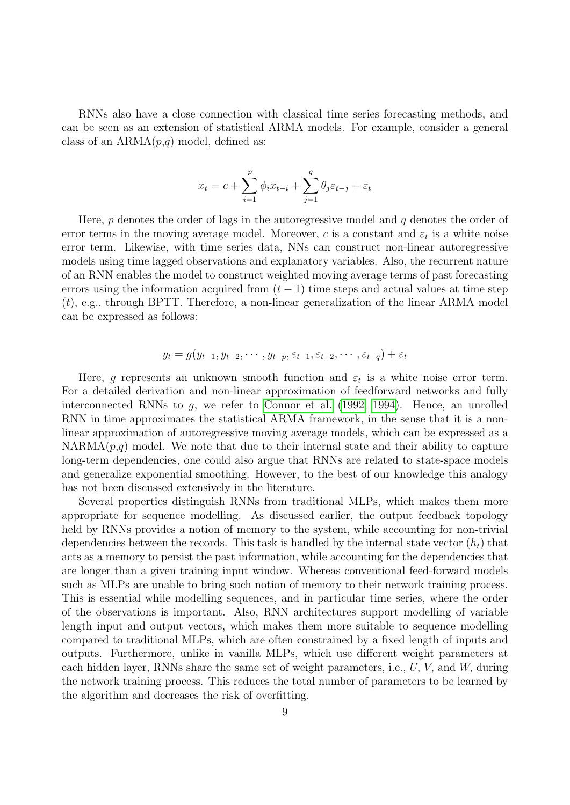RNNs also have a close connection with classical time series forecasting methods, and can be seen as an extension of statistical ARMA models. For example, consider a general class of an  $ARMA(p,q)$  model, defined as:

$$
x_t = c + \sum_{i=1}^p \phi_i x_{t-i} + \sum_{j=1}^q \theta_j \varepsilon_{t-j} + \varepsilon_t
$$

Here,  $p$  denotes the order of lags in the autoregressive model and  $q$  denotes the order of error terms in the moving average model. Moreover, c is a constant and  $\varepsilon_t$  is a white noise error term. Likewise, with time series data, NNs can construct non-linear autoregressive models using time lagged observations and explanatory variables. Also, the recurrent nature of an RNN enables the model to construct weighted moving average terms of past forecasting errors using the information acquired from  $(t - 1)$  time steps and actual values at time step  $(t)$ , e.g., through BPTT. Therefore, a non-linear generalization of the linear ARMA model can be expressed as follows:

$$
y_t = g(y_{t-1}, y_{t-2}, \cdots, y_{t-p}, \varepsilon_{t-1}, \varepsilon_{t-2}, \cdots, \varepsilon_{t-q}) + \varepsilon_t
$$

Here, g represents an unknown smooth function and  $\varepsilon_t$  is a white noise error term. For a detailed derivation and non-linear approximation of feedforward networks and fully interconnected RNNs to g, we refer to [Connor et al.](#page-29-14) [\(1992,](#page-29-14) [1994\)](#page-29-15). Hence, an unrolled RNN in time approximates the statistical ARMA framework, in the sense that it is a nonlinear approximation of autoregressive moving average models, which can be expressed as a  $NARMA(p,q)$  model. We note that due to their internal state and their ability to capture long-term dependencies, one could also argue that RNNs are related to state-space models and generalize exponential smoothing. However, to the best of our knowledge this analogy has not been discussed extensively in the literature.

Several properties distinguish RNNs from traditional MLPs, which makes them more appropriate for sequence modelling. As discussed earlier, the output feedback topology held by RNNs provides a notion of memory to the system, while accounting for non-trivial dependencies between the records. This task is handled by the internal state vector  $(h_t)$  that acts as a memory to persist the past information, while accounting for the dependencies that are longer than a given training input window. Whereas conventional feed-forward models such as MLPs are unable to bring such notion of memory to their network training process. This is essential while modelling sequences, and in particular time series, where the order of the observations is important. Also, RNN architectures support modelling of variable length input and output vectors, which makes them more suitable to sequence modelling compared to traditional MLPs, which are often constrained by a fixed length of inputs and outputs. Furthermore, unlike in vanilla MLPs, which use different weight parameters at each hidden layer, RNNs share the same set of weight parameters, i.e.,  $U, V$ , and  $W$ , during the network training process. This reduces the total number of parameters to be learned by the algorithm and decreases the risk of overfitting.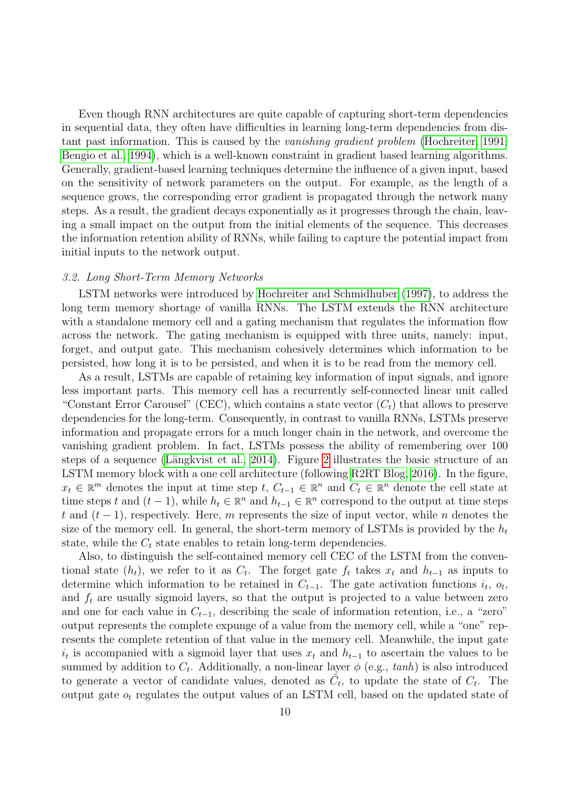Even though RNN architectures are quite capable of capturing short-term dependencies in sequential data, they often have difficulties in learning long-term dependencies from distant past information. This is caused by the vanishing gradient problem [\(Hochreiter, 1991;](#page-30-14) [Bengio et al., 1994\)](#page-29-16), which is a well-known constraint in gradient based learning algorithms. Generally, gradient-based learning techniques determine the influence of a given input, based on the sensitivity of network parameters on the output. For example, as the length of a sequence grows, the corresponding error gradient is propagated through the network many steps. As a result, the gradient decays exponentially as it progresses through the chain, leaving a small impact on the output from the initial elements of the sequence. This decreases the information retention ability of RNNs, while failing to capture the potential impact from initial inputs to the network output.

# 3.2. Long Short-Term Memory Networks

LSTM networks were introduced by [Hochreiter and Schmidhuber](#page-30-15) [\(1997\)](#page-30-15), to address the long term memory shortage of vanilla RNNs. The LSTM extends the RNN architecture with a standalone memory cell and a gating mechanism that regulates the information flow across the network. The gating mechanism is equipped with three units, namely: input, forget, and output gate. This mechanism cohesively determines which information to be persisted, how long it is to be persisted, and when it is to be read from the memory cell.

As a result, LSTMs are capable of retaining key information of input signals, and ignore less important parts. This memory cell has a recurrently self-connected linear unit called "Constant Error Carousel" (CEC), which contains a state vector  $(C_t)$  that allows to preserve dependencies for the long-term. Consequently, in contrast to vanilla RNNs, LSTMs preserve information and propagate errors for a much longer chain in the network, and overcome the vanishing gradient problem. In fact, LSTMs possess the ability of remembering over 100 steps of a sequence (Längkvist et al., [2](#page-10-0)014). Figure 2 illustrates the basic structure of an LSTM memory block with a one cell architecture (following [R2RT Blog, 2016\)](#page-31-13). In the figure,  $x_t \in \mathbb{R}^m$  denotes the input at time step  $t, C_{t-1} \in \mathbb{R}^n$  and  $C_t \in \mathbb{R}^n$  denote the cell state at time steps t and  $(t-1)$ , while  $h_t \in \mathbb{R}^n$  and  $h_{t-1} \in \mathbb{R}^n$  correspond to the output at time steps t and  $(t-1)$ , respectively. Here, m represents the size of input vector, while n denotes the size of the memory cell. In general, the short-term memory of LSTMs is provided by the  $h_t$ state, while the  $C_t$  state enables to retain long-term dependencies.

Also, to distinguish the self-contained memory cell CEC of the LSTM from the conventional state  $(h_t)$ , we refer to it as  $C_t$ . The forget gate  $f_t$  takes  $x_t$  and  $h_{t-1}$  as inputs to determine which information to be retained in  $C_{t-1}$ . The gate activation functions  $i_t$ ,  $o_t$ , and  $f_t$  are usually sigmoid layers, so that the output is projected to a value between zero and one for each value in  $C_{t-1}$ , describing the scale of information retention, i.e., a "zero" output represents the complete expunge of a value from the memory cell, while a "one" represents the complete retention of that value in the memory cell. Meanwhile, the input gate  $i_t$  is accompanied with a sigmoid layer that uses  $x_t$  and  $h_{t-1}$  to ascertain the values to be summed by addition to  $C_t$ . Additionally, a non-linear layer  $\phi$  (e.g.,  $tanh$ ) is also introduced to generate a vector of candidate values, denoted as  $\tilde{C}_t$ , to update the state of  $C_t$ . The output gate  $o_t$  regulates the output values of an LSTM cell, based on the updated state of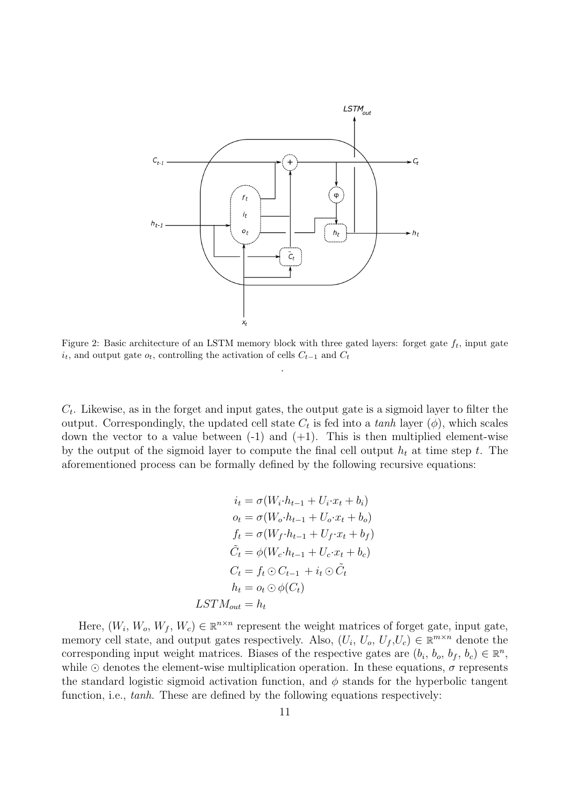

<span id="page-10-0"></span>Figure 2: Basic architecture of an LSTM memory block with three gated layers: forget gate  $f_t$ , input gate  $i_t$ , and output gate  $o_t$ , controlling the activation of cells  $C_{t-1}$  and  $C_t$ 

.

 $C_t$ . Likewise, as in the forget and input gates, the output gate is a sigmoid layer to filter the output. Correspondingly, the updated cell state  $C_t$  is fed into a tanh layer  $(\phi)$ , which scales down the vector to a value between  $(-1)$  and  $(+1)$ . This is then multiplied element-wise by the output of the sigmoid layer to compute the final cell output  $h_t$  at time step t. The aforementioned process can be formally defined by the following recursive equations:

$$
i_t = \sigma(W_i \cdot h_{t-1} + U_i \cdot x_t + b_i)
$$
  
\n
$$
o_t = \sigma(W_o \cdot h_{t-1} + U_o \cdot x_t + b_o)
$$
  
\n
$$
f_t = \sigma(W_f \cdot h_{t-1} + U_f \cdot x_t + b_f)
$$
  
\n
$$
\tilde{C}_t = \phi(W_c \cdot h_{t-1} + U_c \cdot x_t + b_c)
$$
  
\n
$$
C_t = f_t \odot C_{t-1} + i_t \odot \tilde{C}_t
$$
  
\n
$$
h_t = o_t \odot \phi(C_t)
$$
  
\n
$$
LSTM_{out} = h_t
$$

Here,  $(W_i, W_o, W_f, W_c) \in \mathbb{R}^{n \times n}$  represent the weight matrices of forget gate, input gate, memory cell state, and output gates respectively. Also,  $(U_i, U_o, U_f, U_c) \in \mathbb{R}^{m \times n}$  denote the corresponding input weight matrices. Biases of the respective gates are  $(b_i, b_o, b_f, b_c) \in \mathbb{R}^n$ , while  $\odot$  denotes the element-wise multiplication operation. In these equations,  $\sigma$  represents the standard logistic sigmoid activation function, and  $\phi$  stands for the hyperbolic tangent function, i.e., *tanh*. These are defined by the following equations respectively: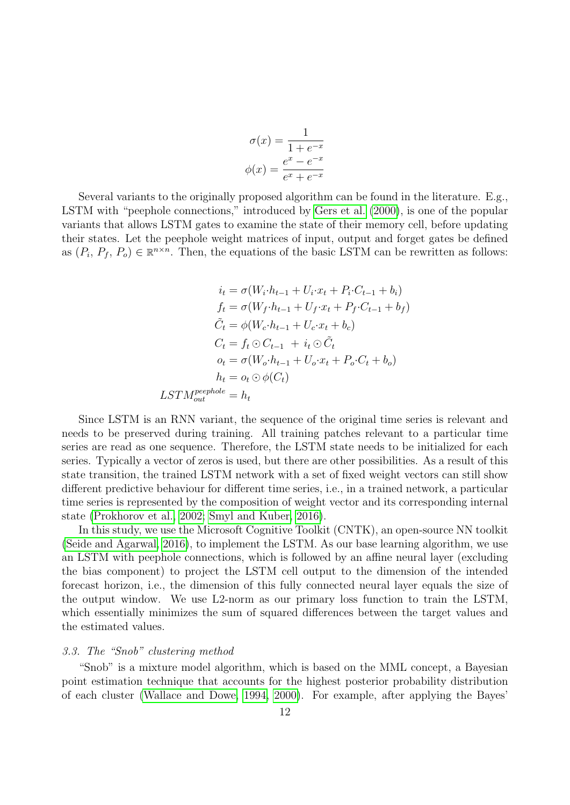$$
\sigma(x) = \frac{1}{1 + e^{-x}}
$$

$$
\phi(x) = \frac{e^x - e^{-x}}{e^x + e^{-x}}
$$

Several variants to the originally proposed algorithm can be found in the literature. E.g., LSTM with "peephole connections," introduced by [Gers et al.](#page-30-17) [\(2000\)](#page-30-17), is one of the popular variants that allows LSTM gates to examine the state of their memory cell, before updating their states. Let the peephole weight matrices of input, output and forget gates be defined as  $(P_i, P_f, P_o) \in \mathbb{R}^{n \times n}$ . Then, the equations of the basic LSTM can be rewritten as follows:

$$
i_t = \sigma(W_i \cdot h_{t-1} + U_i \cdot x_t + P_i \cdot C_{t-1} + b_i)
$$
  
\n
$$
f_t = \sigma(W_f \cdot h_{t-1} + U_f \cdot x_t + P_f \cdot C_{t-1} + b_f)
$$
  
\n
$$
\tilde{C}_t = \phi(W_c \cdot h_{t-1} + U_c \cdot x_t + b_c)
$$
  
\n
$$
C_t = f_t \odot C_{t-1} + i_t \odot \tilde{C}_t
$$
  
\n
$$
o_t = \sigma(W_o \cdot h_{t-1} + U_o \cdot x_t + P_o \cdot C_t + b_o)
$$
  
\n
$$
h_t = o_t \odot \phi(C_t)
$$
  
\nLSTM<sub>out</sub><sup>peephole</sup> = h<sub>t</sub>

Since LSTM is an RNN variant, the sequence of the original time series is relevant and needs to be preserved during training. All training patches relevant to a particular time series are read as one sequence. Therefore, the LSTM state needs to be initialized for each series. Typically a vector of zeros is used, but there are other possibilities. As a result of this state transition, the trained LSTM network with a set of fixed weight vectors can still show different predictive behaviour for different time series, i.e., in a trained network, a particular time series is represented by the composition of weight vector and its corresponding internal state [\(Prokhorov et al., 2002;](#page-31-14) [Smyl and Kuber, 2016\)](#page-31-8).

In this study, we use the Microsoft Cognitive Toolkit (CNTK), an open-source NN toolkit [\(Seide and Agarwal, 2016\)](#page-31-15), to implement the LSTM. As our base learning algorithm, we use an LSTM with peephole connections, which is followed by an affine neural layer (excluding the bias component) to project the LSTM cell output to the dimension of the intended forecast horizon, i.e., the dimension of this fully connected neural layer equals the size of the output window. We use L2-norm as our primary loss function to train the LSTM, which essentially minimizes the sum of squared differences between the target values and the estimated values.

# <span id="page-11-0"></span>3.3. The "Snob" clustering method

"Snob" is a mixture model algorithm, which is based on the MML concept, a Bayesian point estimation technique that accounts for the highest posterior probability distribution of each cluster [\(Wallace and Dowe, 1994,](#page-32-12) [2000\)](#page-32-6). For example, after applying the Bayes'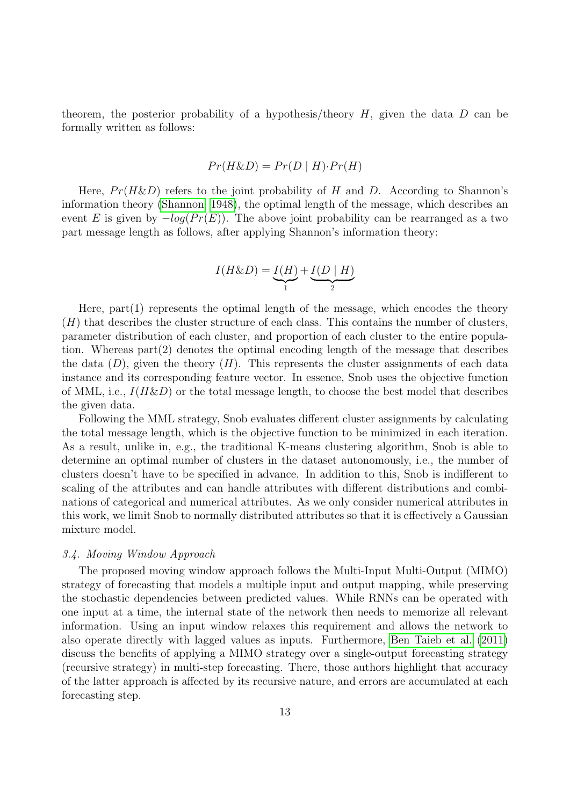theorem, the posterior probability of a hypothesis/theory  $H$ , given the data  $D$  can be formally written as follows:

$$
Pr(H \& D) = Pr(D \mid H) \cdot Pr(H)
$$

Here,  $Pr(H\&D)$  refers to the joint probability of H and D. According to Shannon's information theory [\(Shannon, 1948\)](#page-31-16), the optimal length of the message, which describes an event E is given by  $-log(Pr(E))$ . The above joint probability can be rearranged as a two part message length as follows, after applying Shannon's information theory:

$$
I(H\&D) = \underbrace{I(H)}_{1} + \underbrace{I(D \mid H)}_{2}
$$

Here,  $part(1)$  represents the optimal length of the message, which encodes the theory  $(H)$  that describes the cluster structure of each class. This contains the number of clusters, parameter distribution of each cluster, and proportion of each cluster to the entire population. Whereas part(2) denotes the optimal encoding length of the message that describes the data  $(D)$ , given the theory  $(H)$ . This represents the cluster assignments of each data instance and its corresponding feature vector. In essence, Snob uses the objective function of MML, i.e.,  $I(H\&D)$  or the total message length, to choose the best model that describes the given data.

Following the MML strategy, Snob evaluates different cluster assignments by calculating the total message length, which is the objective function to be minimized in each iteration. As a result, unlike in, e.g., the traditional K-means clustering algorithm, Snob is able to determine an optimal number of clusters in the dataset autonomously, i.e., the number of clusters doesn't have to be specified in advance. In addition to this, Snob is indifferent to scaling of the attributes and can handle attributes with different distributions and combinations of categorical and numerical attributes. As we only consider numerical attributes in this work, we limit Snob to normally distributed attributes so that it is effectively a Gaussian mixture model.

# <span id="page-12-0"></span>3.4. Moving Window Approach

The proposed moving window approach follows the Multi-Input Multi-Output (MIMO) strategy of forecasting that models a multiple input and output mapping, while preserving the stochastic dependencies between predicted values. While RNNs can be operated with one input at a time, the internal state of the network then needs to memorize all relevant information. Using an input window relaxes this requirement and allows the network to also operate directly with lagged values as inputs. Furthermore, [Ben Taieb et al.](#page-29-7) [\(2011\)](#page-29-7) discuss the benefits of applying a MIMO strategy over a single-output forecasting strategy (recursive strategy) in multi-step forecasting. There, those authors highlight that accuracy of the latter approach is affected by its recursive nature, and errors are accumulated at each forecasting step.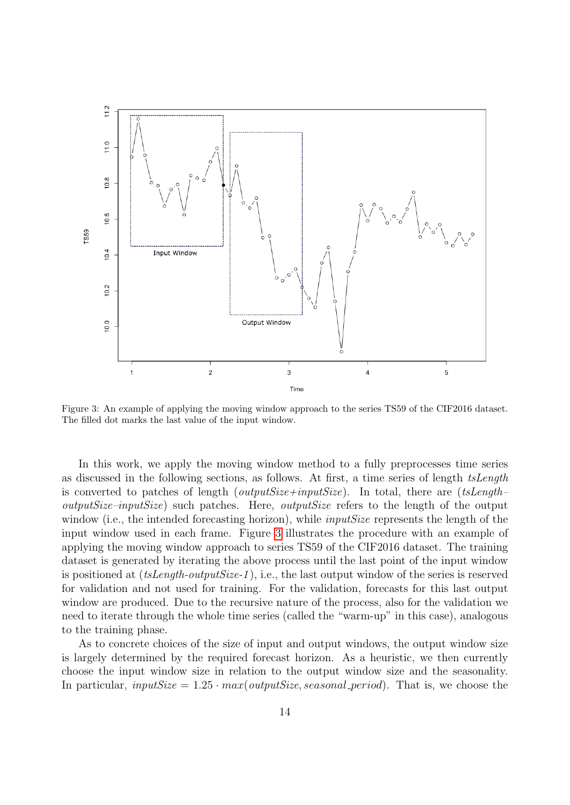

<span id="page-13-0"></span>Figure 3: An example of applying the moving window approach to the series TS59 of the CIF2016 dataset. The filled dot marks the last value of the input window.

In this work, we apply the moving window method to a fully preprocesses time series as discussed in the following sections, as follows. At first, a time series of length tsLength is converted to patches of length (*outputSize+inputSize*). In total, there are (tsLength– outputSize–inputSize) such patches. Here, outputSize refers to the length of the output window (i.e., the intended forecasting horizon), while *inputSize* represents the length of the input window used in each frame. Figure [3](#page-13-0) illustrates the procedure with an example of applying the moving window approach to series TS59 of the CIF2016 dataset. The training dataset is generated by iterating the above process until the last point of the input window is positioned at (tsLength-outputSize-1 ), i.e., the last output window of the series is reserved for validation and not used for training. For the validation, forecasts for this last output window are produced. Due to the recursive nature of the process, also for the validation we need to iterate through the whole time series (called the "warm-up" in this case), analogous to the training phase.

As to concrete choices of the size of input and output windows, the output window size is largely determined by the required forecast horizon. As a heuristic, we then currently choose the input window size in relation to the output window size and the seasonality. In particular, inputSize =  $1.25 \cdot max(oututSize, seasonal\_period)$ . That is, we choose the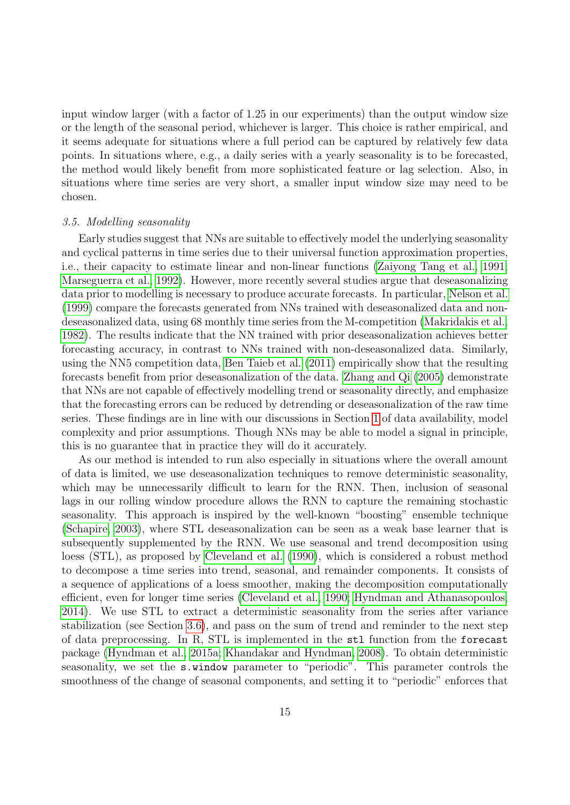input window larger (with a factor of 1.25 in our experiments) than the output window size or the length of the seasonal period, whichever is larger. This choice is rather empirical, and it seems adequate for situations where a full period can be captured by relatively few data points. In situations where, e.g., a daily series with a yearly seasonality is to be forecasted, the method would likely benefit from more sophisticated feature or lag selection. Also, in situations where time series are very short, a smaller input window size may need to be chosen.

#### 3.5. Modelling seasonality

Early studies suggest that NNs are suitable to effectively model the underlying seasonality and cyclical patterns in time series due to their universal function approximation properties, i.e., their capacity to estimate linear and non-linear functions [\(Zaiyong Tang et al., 1991;](#page-32-13) [Marseguerra et al., 1992\)](#page-31-17). However, more recently several studies argue that deseasonalizing data prior to modelling is necessary to produce accurate forecasts. In particular, [Nelson et al.](#page-31-1) [\(1999\)](#page-31-1) compare the forecasts generated from NNs trained with deseasonalized data and nondeseasonalized data, using 68 monthly time series from the M-competition [\(Makridakis et al.,](#page-30-18) [1982\)](#page-30-18). The results indicate that the NN trained with prior deseasonalization achieves better forecasting accuracy, in contrast to NNs trained with non-deseasonalized data. Similarly, using the NN5 competition data, [Ben Taieb et al.](#page-29-7) [\(2011\)](#page-29-7) empirically show that the resulting forecasts benefit from prior deseasonalization of the data. [Zhang and Qi](#page-32-0) [\(2005\)](#page-32-0) demonstrate that NNs are not capable of effectively modelling trend or seasonality directly, and emphasize that the forecasting errors can be reduced by detrending or deseasonalization of the raw time series. These findings are in line with our discussions in Section [1](#page-0-0) of data availability, model complexity and prior assumptions. Though NNs may be able to model a signal in principle, this is no guarantee that in practice they will do it accurately.

As our method is intended to run also especially in situations where the overall amount of data is limited, we use deseasonalization techniques to remove deterministic seasonality, which may be unnecessarily difficult to learn for the RNN. Then, inclusion of seasonal lags in our rolling window procedure allows the RNN to capture the remaining stochastic seasonality. This approach is inspired by the well-known "boosting" ensemble technique [\(Schapire, 2003\)](#page-31-18), where STL deseasonalization can be seen as a weak base learner that is subsequently supplemented by the RNN. We use seasonal and trend decomposition using loess (STL), as proposed by [Cleveland et al.](#page-29-17) [\(1990\)](#page-29-17), which is considered a robust method to decompose a time series into trend, seasonal, and remainder components. It consists of a sequence of applications of a loess smoother, making the decomposition computationally efficient, even for longer time series [\(Cleveland et al., 1990;](#page-29-17) [Hyndman and Athanasopoulos,](#page-30-19) [2014\)](#page-30-19). We use STL to extract a deterministic seasonality from the series after variance stabilization (see Section [3.6\)](#page-15-0), and pass on the sum of trend and reminder to the next step of data preprocessing. In R, STL is implemented in the stl function from the forecast package [\(Hyndman et al., 2015a;](#page-30-20) [Khandakar and Hyndman, 2008\)](#page-30-21). To obtain deterministic seasonality, we set the s.window parameter to "periodic". This parameter controls the smoothness of the change of seasonal components, and setting it to "periodic" enforces that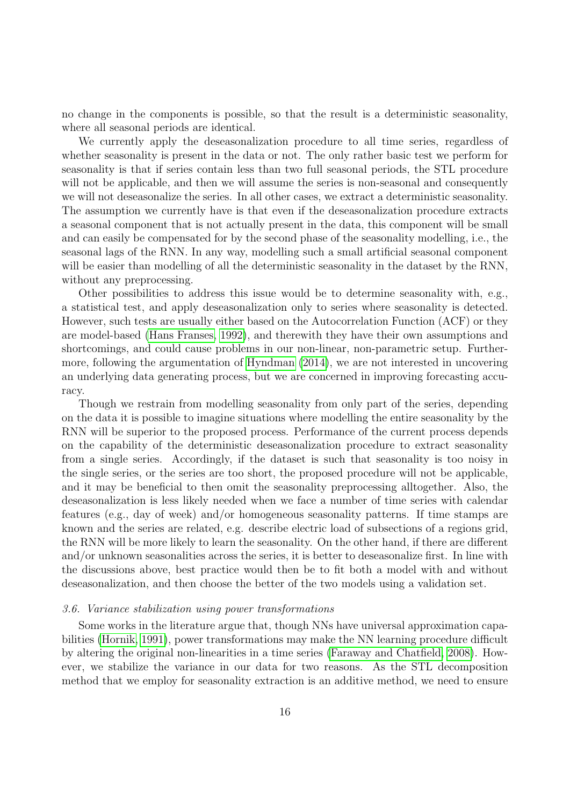no change in the components is possible, so that the result is a deterministic seasonality, where all seasonal periods are identical.

We currently apply the deseasonalization procedure to all time series, regardless of whether seasonality is present in the data or not. The only rather basic test we perform for seasonality is that if series contain less than two full seasonal periods, the STL procedure will not be applicable, and then we will assume the series is non-seasonal and consequently we will not deseasonalize the series. In all other cases, we extract a deterministic seasonality. The assumption we currently have is that even if the deseasonalization procedure extracts a seasonal component that is not actually present in the data, this component will be small and can easily be compensated for by the second phase of the seasonality modelling, i.e., the seasonal lags of the RNN. In any way, modelling such a small artificial seasonal component will be easier than modelling of all the deterministic seasonality in the dataset by the RNN, without any preprocessing.

Other possibilities to address this issue would be to determine seasonality with, e.g., a statistical test, and apply deseasonalization only to series where seasonality is detected. However, such tests are usually either based on the Autocorrelation Function (ACF) or they are model-based [\(Hans Franses, 1992\)](#page-30-22), and therewith they have their own assumptions and shortcomings, and could cause problems in our non-linear, non-parametric setup. Furthermore, following the argumentation of [Hyndman](#page-30-23) [\(2014\)](#page-30-23), we are not interested in uncovering an underlying data generating process, but we are concerned in improving forecasting accuracy.

Though we restrain from modelling seasonality from only part of the series, depending on the data it is possible to imagine situations where modelling the entire seasonality by the RNN will be superior to the proposed process. Performance of the current process depends on the capability of the deterministic deseasonalization procedure to extract seasonality from a single series. Accordingly, if the dataset is such that seasonality is too noisy in the single series, or the series are too short, the proposed procedure will not be applicable, and it may be beneficial to then omit the seasonality preprocessing alltogether. Also, the deseasonalization is less likely needed when we face a number of time series with calendar features (e.g., day of week) and/or homogeneous seasonality patterns. If time stamps are known and the series are related, e.g. describe electric load of subsections of a regions grid, the RNN will be more likely to learn the seasonality. On the other hand, if there are different and/or unknown seasonalities across the series, it is better to deseasonalize first. In line with the discussions above, best practice would then be to fit both a model with and without deseasonalization, and then choose the better of the two models using a validation set.

#### <span id="page-15-0"></span>3.6. Variance stabilization using power transformations

Some works in the literature argue that, though NNs have universal approximation capabilities [\(Hornik, 1991\)](#page-30-4), power transformations may make the NN learning procedure difficult by altering the original non-linearities in a time series [\(Faraway and Chatfield, 2008\)](#page-29-18). However, we stabilize the variance in our data for two reasons. As the STL decomposition method that we employ for seasonality extraction is an additive method, we need to ensure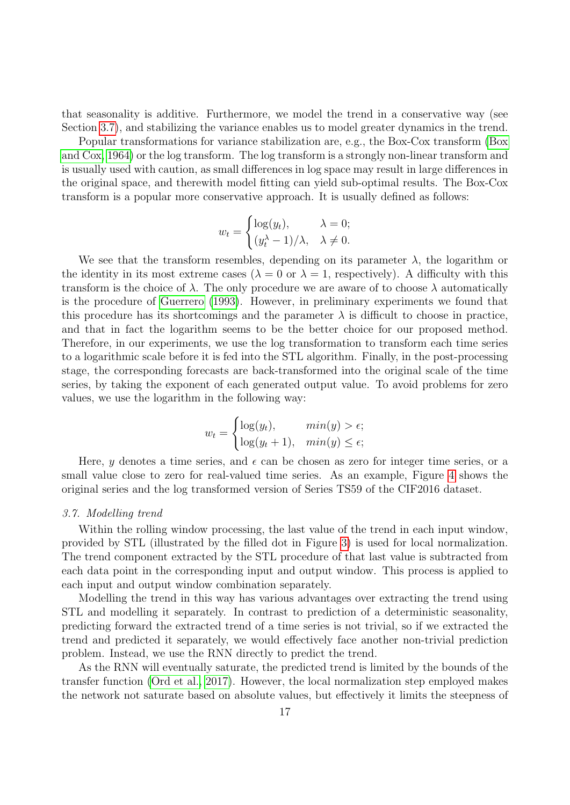that seasonality is additive. Furthermore, we model the trend in a conservative way (see Section [3.7\)](#page-16-0), and stabilizing the variance enables us to model greater dynamics in the trend.

Popular transformations for variance stabilization are, e.g., the Box-Cox transform [\(Box](#page-29-19) [and Cox, 1964\)](#page-29-19) or the log transform. The log transform is a strongly non-linear transform and is usually used with caution, as small differences in log space may result in large differences in the original space, and therewith model fitting can yield sub-optimal results. The Box-Cox transform is a popular more conservative approach. It is usually defined as follows:

$$
w_t = \begin{cases} \log(y_t), & \lambda = 0; \\ (y_t^{\lambda} - 1)/\lambda, & \lambda \neq 0. \end{cases}
$$

We see that the transform resembles, depending on its parameter  $\lambda$ , the logarithm or the identity in its most extreme cases ( $\lambda = 0$  or  $\lambda = 1$ , respectively). A difficulty with this transform is the choice of  $\lambda$ . The only procedure we are aware of to choose  $\lambda$  automatically is the procedure of [Guerrero](#page-30-24) [\(1993\)](#page-30-24). However, in preliminary experiments we found that this procedure has its shortcomings and the parameter  $\lambda$  is difficult to choose in practice, and that in fact the logarithm seems to be the better choice for our proposed method. Therefore, in our experiments, we use the log transformation to transform each time series to a logarithmic scale before it is fed into the STL algorithm. Finally, in the post-processing stage, the corresponding forecasts are back-transformed into the original scale of the time series, by taking the exponent of each generated output value. To avoid problems for zero values, we use the logarithm in the following way:

$$
w_t = \begin{cases} \log(y_t), & \min(y) > \epsilon; \\ \log(y_t + 1), & \min(y) \le \epsilon; \end{cases}
$$

Here, y denotes a time series, and  $\epsilon$  can be chosen as zero for integer time series, or a small value close to zero for real-valued time series. As an example, Figure [4](#page-17-0) shows the original series and the log transformed version of Series TS59 of the CIF2016 dataset.

#### <span id="page-16-0"></span>3.7. Modelling trend

Within the rolling window processing, the last value of the trend in each input window, provided by STL (illustrated by the filled dot in Figure [3\)](#page-13-0) is used for local normalization. The trend component extracted by the STL procedure of that last value is subtracted from each data point in the corresponding input and output window. This process is applied to each input and output window combination separately.

Modelling the trend in this way has various advantages over extracting the trend using STL and modelling it separately. In contrast to prediction of a deterministic seasonality, predicting forward the extracted trend of a time series is not trivial, so if we extracted the trend and predicted it separately, we would effectively face another non-trivial prediction problem. Instead, we use the RNN directly to predict the trend.

As the RNN will eventually saturate, the predicted trend is limited by the bounds of the transfer function [\(Ord et al., 2017\)](#page-31-19). However, the local normalization step employed makes the network not saturate based on absolute values, but effectively it limits the steepness of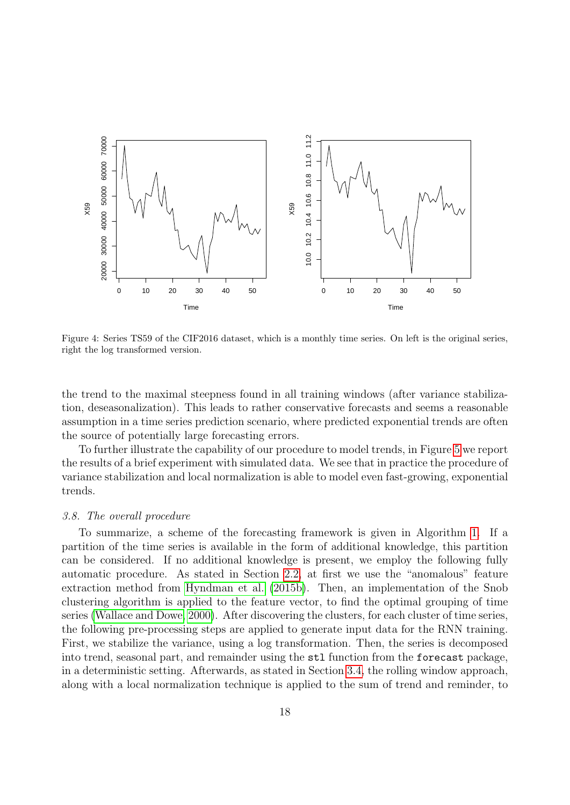

<span id="page-17-0"></span>Figure 4: Series TS59 of the CIF2016 dataset, which is a monthly time series. On left is the original series, right the log transformed version.

the trend to the maximal steepness found in all training windows (after variance stabilization, deseasonalization). This leads to rather conservative forecasts and seems a reasonable assumption in a time series prediction scenario, where predicted exponential trends are often the source of potentially large forecasting errors.

To further illustrate the capability of our procedure to model trends, in Figure [5](#page-18-0) we report the results of a brief experiment with simulated data. We see that in practice the procedure of variance stabilization and local normalization is able to model even fast-growing, exponential trends.

#### 3.8. The overall procedure

To summarize, a scheme of the forecasting framework is given in Algorithm [1.](#page-19-1) If a partition of the time series is available in the form of additional knowledge, this partition can be considered. If no additional knowledge is present, we employ the following fully automatic procedure. As stated in Section [2.2,](#page-4-0) at first we use the "anomalous" feature extraction method from [Hyndman et al.](#page-30-8) [\(2015b\)](#page-30-8). Then, an implementation of the Snob clustering algorithm is applied to the feature vector, to find the optimal grouping of time series [\(Wallace and Dowe, 2000\)](#page-32-6). After discovering the clusters, for each cluster of time series, the following pre-processing steps are applied to generate input data for the RNN training. First, we stabilize the variance, using a log transformation. Then, the series is decomposed into trend, seasonal part, and remainder using the stl function from the forecast package, in a deterministic setting. Afterwards, as stated in Section [3.4,](#page-12-0) the rolling window approach, along with a local normalization technique is applied to the sum of trend and reminder, to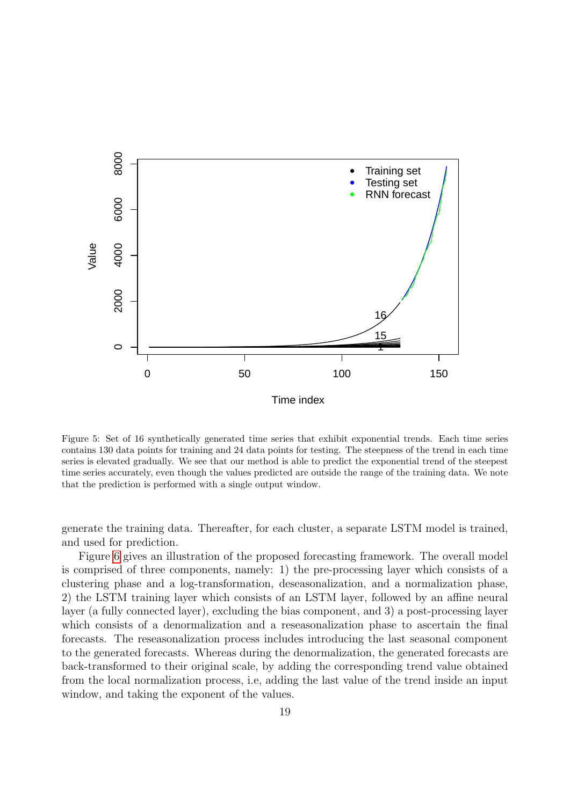

<span id="page-18-0"></span>Figure 5: Set of 16 synthetically generated time series that exhibit exponential trends. Each time series contains 130 data points for training and 24 data points for testing. The steepness of the trend in each time series is elevated gradually. We see that our method is able to predict the exponential trend of the steepest time series accurately, even though the values predicted are outside the range of the training data. We note that the prediction is performed with a single output window.

generate the training data. Thereafter, for each cluster, a separate LSTM model is trained, and used for prediction.

Figure [6](#page-20-0) gives an illustration of the proposed forecasting framework. The overall model is comprised of three components, namely: 1) the pre-processing layer which consists of a clustering phase and a log-transformation, deseasonalization, and a normalization phase, 2) the LSTM training layer which consists of an LSTM layer, followed by an affine neural layer (a fully connected layer), excluding the bias component, and 3) a post-processing layer which consists of a denormalization and a reseasonalization phase to ascertain the final forecasts. The reseasonalization process includes introducing the last seasonal component to the generated forecasts. Whereas during the denormalization, the generated forecasts are back-transformed to their original scale, by adding the corresponding trend value obtained from the local normalization process, i.e, adding the last value of the trend inside an input window, and taking the exponent of the values.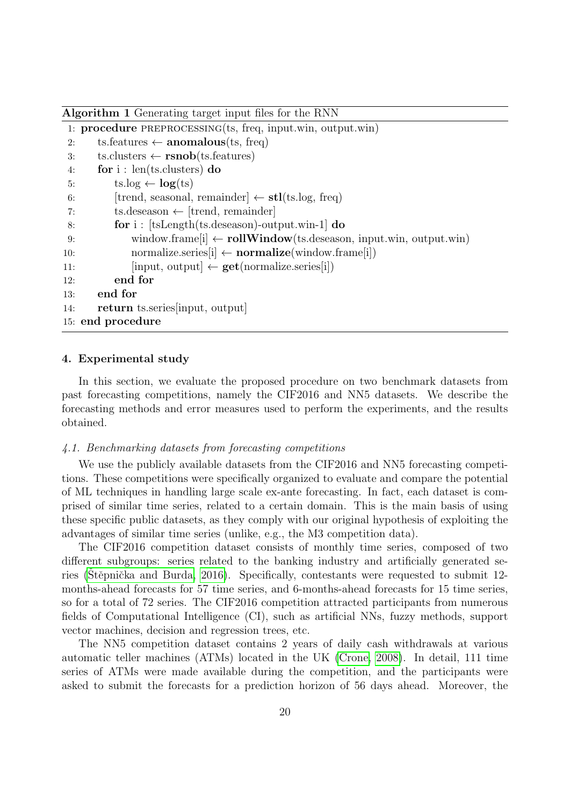<span id="page-19-1"></span>Algorithm 1 Generating target input files for the RNN

```
1: procedure preprocessing(ts, freq, input.win, output.win)
2: ts.features \leftarrow anomalous(ts, freq)
 3: ts.clusters \leftarrow rsnob(ts.features)
 4: for i : len(ts.clusters) do
 5: ts.log \leftarrow log(ts)
 6: [trend, seasonal, remainder] \leftarrow stl(ts.log, freq)
 7: ts.deseason \leftarrow [trend, remainder]
8: for i : [tsLength(ts.deseason)-output.win-1] do
9: window.frame[i] \leftarrow \text{rollWindow}(ts.deseason, input.win, output.win)10: normalize.series[i] \leftarrow \text{normalize}(\text{window}.\text{frame}[i])11: \text{[input, output]} \leftarrow \text{get}(\text{normalize}.\text{series}[i])12: end for
13: end for
14: return ts.series[input, output]
15: end procedure
```
# <span id="page-19-0"></span>4. Experimental study

In this section, we evaluate the proposed procedure on two benchmark datasets from past forecasting competitions, namely the CIF2016 and NN5 datasets. We describe the forecasting methods and error measures used to perform the experiments, and the results obtained.

#### 4.1. Benchmarking datasets from forecasting competitions

We use the publicly available datasets from the CIF2016 and NN5 forecasting competitions. These competitions were specifically organized to evaluate and compare the potential of ML techniques in handling large scale ex-ante forecasting. In fact, each dataset is comprised of similar time series, related to a certain domain. This is the main basis of using these specific public datasets, as they comply with our original hypothesis of exploiting the advantages of similar time series (unlike, e.g., the M3 competition data).

The CIF2016 competition dataset consists of monthly time series, composed of two different subgroups: series related to the banking industry and artificially generated series (Stěpnička and Burda, 2016). Specifically, contestants were requested to submit  $12$ months-ahead forecasts for 57 time series, and 6-months-ahead forecasts for 15 time series, so for a total of 72 series. The CIF2016 competition attracted participants from numerous fields of Computational Intelligence (CI), such as artificial NNs, fuzzy methods, support vector machines, decision and regression trees, etc.

The NN5 competition dataset contains 2 years of daily cash withdrawals at various automatic teller machines (ATMs) located in the UK [\(Crone, 2008\)](#page-29-20). In detail, 111 time series of ATMs were made available during the competition, and the participants were asked to submit the forecasts for a prediction horizon of 56 days ahead. Moreover, the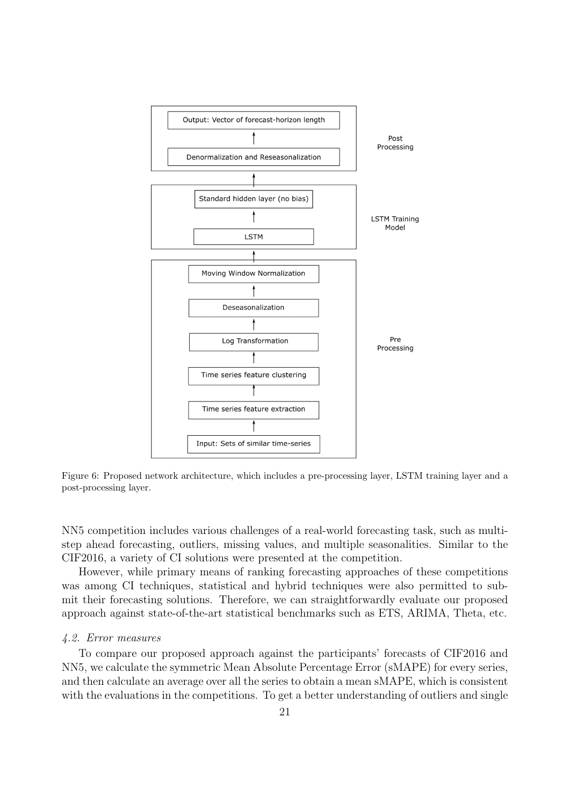

<span id="page-20-0"></span>Figure 6: Proposed network architecture, which includes a pre-processing layer, LSTM training layer and a post-processing layer.

NN5 competition includes various challenges of a real-world forecasting task, such as multistep ahead forecasting, outliers, missing values, and multiple seasonalities. Similar to the CIF2016, a variety of CI solutions were presented at the competition.

However, while primary means of ranking forecasting approaches of these competitions was among CI techniques, statistical and hybrid techniques were also permitted to submit their forecasting solutions. Therefore, we can straightforwardly evaluate our proposed approach against state-of-the-art statistical benchmarks such as ETS, ARIMA, Theta, etc.

#### 4.2. Error measures

To compare our proposed approach against the participants' forecasts of CIF2016 and NN5, we calculate the symmetric Mean Absolute Percentage Error (sMAPE) for every series, and then calculate an average over all the series to obtain a mean sMAPE, which is consistent with the evaluations in the competitions. To get a better understanding of outliers and single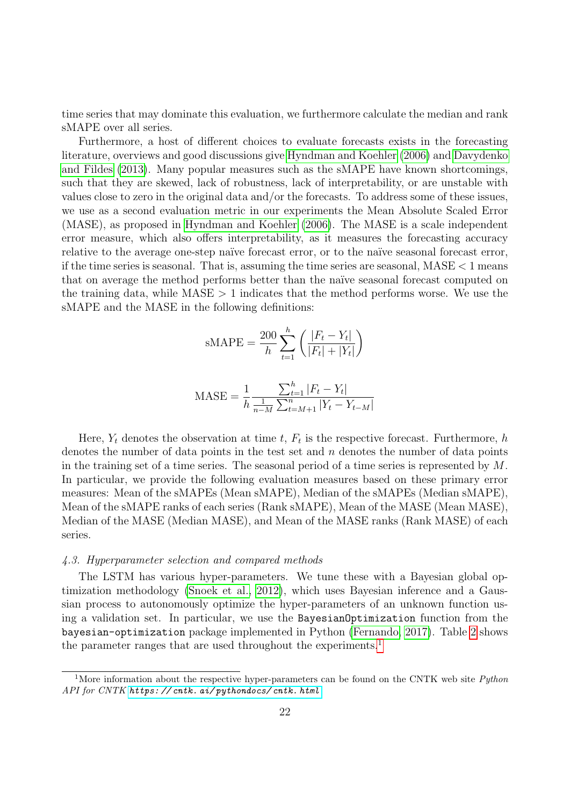time series that may dominate this evaluation, we furthermore calculate the median and rank sMAPE over all series.

Furthermore, a host of different choices to evaluate forecasts exists in the forecasting literature, overviews and good discussions give [Hyndman and Koehler](#page-30-25) [\(2006\)](#page-30-25) and [Davydenko](#page-29-21) [and Fildes](#page-29-21) [\(2013\)](#page-29-21). Many popular measures such as the sMAPE have known shortcomings, such that they are skewed, lack of robustness, lack of interpretability, or are unstable with values close to zero in the original data and/or the forecasts. To address some of these issues, we use as a second evaluation metric in our experiments the Mean Absolute Scaled Error (MASE), as proposed in [Hyndman and Koehler](#page-30-25) [\(2006\)](#page-30-25). The MASE is a scale independent error measure, which also offers interpretability, as it measures the forecasting accuracy relative to the average one-step naïve forecast error, or to the naïve seasonal forecast error, if the time series is seasonal. That is, assuming the time series are seasonal,  $MASE < 1$  means that on average the method performs better than the naïve seasonal forecast computed on the training data, while  $MASE > 1$  indicates that the method performs worse. We use the sMAPE and the MASE in the following definitions:

$$
sMAPE = \frac{200}{h} \sum_{t=1}^{h} \left( \frac{|F_t - Y_t|}{|F_t| + |Y_t|} \right)
$$

$$
\text{MASE} = \frac{1}{h} \frac{\sum_{t=1}^{h} |F_t - Y_t|}{\frac{1}{n - M} \sum_{t=M+1}^{n} |Y_t - Y_{t-M}|}
$$

Here,  $Y_t$  denotes the observation at time t,  $F_t$  is the respective forecast. Furthermore, h denotes the number of data points in the test set and  $n$  denotes the number of data points in the training set of a time series. The seasonal period of a time series is represented by  $M$ . In particular, we provide the following evaluation measures based on these primary error measures: Mean of the sMAPEs (Mean sMAPE), Median of the sMAPEs (Median sMAPE), Mean of the sMAPE ranks of each series (Rank sMAPE), Mean of the MASE (Mean MASE), Median of the MASE (Median MASE), and Mean of the MASE ranks (Rank MASE) of each series.

## 4.3. Hyperparameter selection and compared methods

The LSTM has various hyper-parameters. We tune these with a Bayesian global optimization methodology [\(Snoek et al., 2012\)](#page-31-20), which uses Bayesian inference and a Gaussian process to autonomously optimize the hyper-parameters of an unknown function using a validation set. In particular, we use the BayesianOptimization function from the bayesian-optimization package implemented in Python [\(Fernando, 2017\)](#page-29-22). Table [2](#page-22-0) shows the parameter ranges that are used throughout the experiments.<sup>[1](#page-21-0)</sup>

<span id="page-21-0"></span><sup>&</sup>lt;sup>1</sup>More information about the respective hyper-parameters can be found on the CNTK web site *Python* API for CNTK [https: // cntk. ai/ pythondocs/ cntk. html](https://cntk.ai/pythondocs/cntk.html)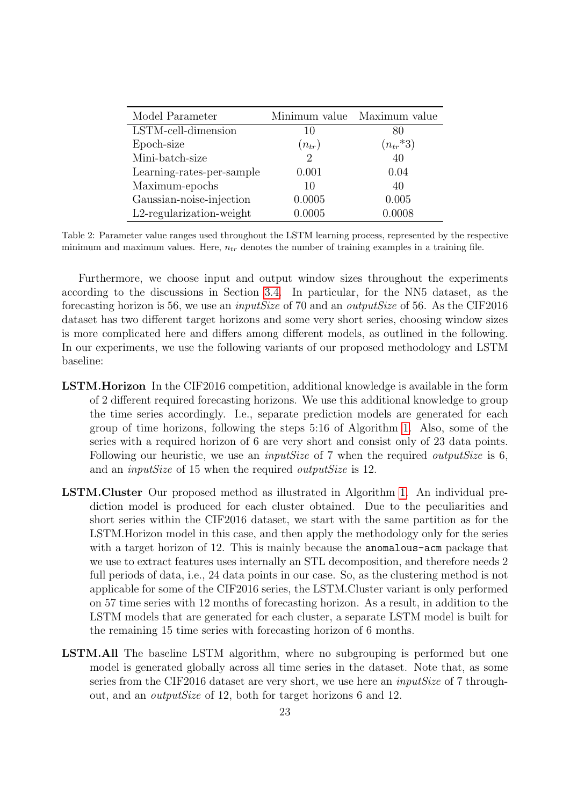| Model Parameter             |                             | Minimum value Maximum value |
|-----------------------------|-----------------------------|-----------------------------|
| LSTM-cell-dimension         | 10                          | 80                          |
| Epoch-size                  | $(n_{tr})$                  | $(n_{tr} * 3)$              |
| Mini-batch-size             | $\mathcal{D}_{\mathcal{L}}$ | 40                          |
| Learning-rates-per-sample   | 0.001                       | 0.04                        |
| Maximum-epochs              | 10                          | 40                          |
| Gaussian-noise-injection    | 0.0005                      | 0.005                       |
| $L2$ -regularization-weight | 0.0005                      | 0.0008                      |

<span id="page-22-0"></span>Table 2: Parameter value ranges used throughout the LSTM learning process, represented by the respective minimum and maximum values. Here,  $n_{tr}$  denotes the number of training examples in a training file.

Furthermore, we choose input and output window sizes throughout the experiments according to the discussions in Section [3.4.](#page-12-0) In particular, for the NN5 dataset, as the forecasting horizon is 56, we use an inputSize of 70 and an outputSize of 56. As the CIF2016 dataset has two different target horizons and some very short series, choosing window sizes is more complicated here and differs among different models, as outlined in the following. In our experiments, we use the following variants of our proposed methodology and LSTM baseline:

- LSTM.Horizon In the CIF2016 competition, additional knowledge is available in the form of 2 different required forecasting horizons. We use this additional knowledge to group the time series accordingly. I.e., separate prediction models are generated for each group of time horizons, following the steps 5:16 of Algorithm [1.](#page-19-1) Also, some of the series with a required horizon of 6 are very short and consist only of 23 data points. Following our heuristic, we use an *inputSize* of 7 when the required *outputSize* is 6, and an *inputSize* of 15 when the required *outputSize* is 12.
- LSTM.Cluster Our proposed method as illustrated in Algorithm [1.](#page-19-1) An individual prediction model is produced for each cluster obtained. Due to the peculiarities and short series within the CIF2016 dataset, we start with the same partition as for the LSTM.Horizon model in this case, and then apply the methodology only for the series with a target horizon of 12. This is mainly because the **anomalous-acm** package that we use to extract features uses internally an STL decomposition, and therefore needs 2 full periods of data, i.e., 24 data points in our case. So, as the clustering method is not applicable for some of the CIF2016 series, the LSTM.Cluster variant is only performed on 57 time series with 12 months of forecasting horizon. As a result, in addition to the LSTM models that are generated for each cluster, a separate LSTM model is built for the remaining 15 time series with forecasting horizon of 6 months.
- LSTM.All The baseline LSTM algorithm, where no subgrouping is performed but one model is generated globally across all time series in the dataset. Note that, as some series from the CIF2016 dataset are very short, we use here an *inputSize* of 7 throughout, and an outputSize of 12, both for target horizons 6 and 12.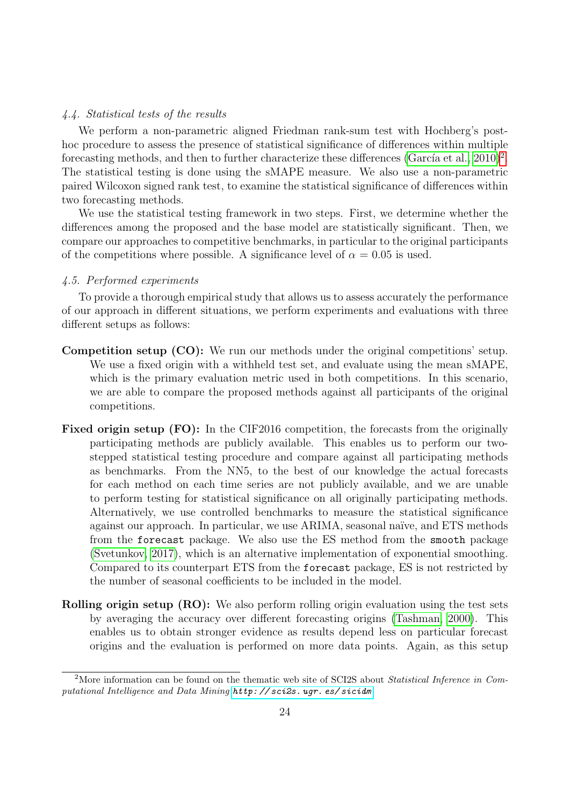# 4.4. Statistical tests of the results

We perform a non-parametric aligned Friedman rank-sum test with Hochberg's posthoc procedure to assess the presence of statistical significance of differences within multiple forecasting methods, and then to further characterize these differences  $(García et al., 2010)^2$  $(García et al., 2010)^2$  $(García et al., 2010)^2$ . The statistical testing is done using the sMAPE measure. We also use a non-parametric paired Wilcoxon signed rank test, to examine the statistical significance of differences within two forecasting methods.

We use the statistical testing framework in two steps. First, we determine whether the differences among the proposed and the base model are statistically significant. Then, we compare our approaches to competitive benchmarks, in particular to the original participants of the competitions where possible. A significance level of  $\alpha = 0.05$  is used.

## 4.5. Performed experiments

To provide a thorough empirical study that allows us to assess accurately the performance of our approach in different situations, we perform experiments and evaluations with three different setups as follows:

- Competition setup (CO): We run our methods under the original competitions' setup. We use a fixed origin with a withheld test set, and evaluate using the mean sMAPE, which is the primary evaluation metric used in both competitions. In this scenario, we are able to compare the proposed methods against all participants of the original competitions.
- Fixed origin setup (FO): In the CIF2016 competition, the forecasts from the originally participating methods are publicly available. This enables us to perform our twostepped statistical testing procedure and compare against all participating methods as benchmarks. From the NN5, to the best of our knowledge the actual forecasts for each method on each time series are not publicly available, and we are unable to perform testing for statistical significance on all originally participating methods. Alternatively, we use controlled benchmarks to measure the statistical significance against our approach. In particular, we use ARIMA, seasonal naïve, and ETS methods from the forecast package. We also use the ES method from the smooth package [\(Svetunkov, 2017\)](#page-32-14), which is an alternative implementation of exponential smoothing. Compared to its counterpart ETS from the forecast package, ES is not restricted by the number of seasonal coefficients to be included in the model.
- Rolling origin setup (RO): We also perform rolling origin evaluation using the test sets by averaging the accuracy over different forecasting origins [\(Tashman, 2000\)](#page-32-15). This enables us to obtain stronger evidence as results depend less on particular forecast origins and the evaluation is performed on more data points. Again, as this setup

<span id="page-23-0"></span><sup>&</sup>lt;sup>2</sup>More information can be found on the thematic web site of SCI2S about *Statistical Inference in Com*putational Intelligence and Data Mining [http: // sci2s. ugr. es/ sicidm](http://sci2s.ugr.es/sicidm)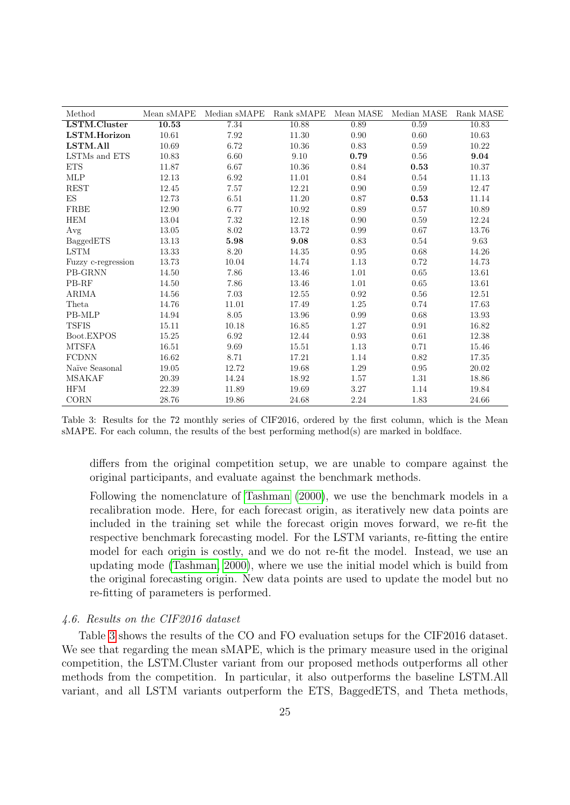| Method               | Mean sMAPE | Median sMAPE | Rank sMAPE | Mean MASE  | Median MASE | Rank MASE |
|----------------------|------------|--------------|------------|------------|-------------|-----------|
| LSTM.Cluster         | 10.53      | 7.34         | 10.88      | 0.89       | 0.59        | 10.83     |
| LSTM.Horizon         | 10.61      | 7.92         | 11.30      | 0.90       | 0.60        | 10.63     |
| LSTM.All             | 10.69      | 6.72         | 10.36      | 0.83       | 0.59        | 10.22     |
| LSTMs and ETS        | 10.83      | 6.60         | 9.10       | 0.79       | 0.56        | 9.04      |
| <b>ETS</b>           | 11.87      | 6.67         | 10.36      | 0.84       | 0.53        | 10.37     |
| $\operatorname{MLP}$ | 12.13      | 6.92         | 11.01      | 0.84       | 0.54        | 11.13     |
| <b>REST</b>          | 12.45      | 7.57         | 12.21      | 0.90       | 0.59        | 12.47     |
| ES                   | 12.73      | 6.51         | 11.20      | 0.87       | 0.53        | 11.14     |
| <b>FRBE</b>          | 12.90      | 6.77         | 10.92      | 0.89       | 0.57        | 10.89     |
| <b>HEM</b>           | 13.04      | 7.32         | 12.18      | 0.90       | 0.59        | 12.24     |
| Avg                  | 13.05      | 8.02         | 13.72      | 0.99       | 0.67        | 13.76     |
| BaggedETS            | 13.13      | 5.98         | 9.08       | 0.83       | 0.54        | 9.63      |
| <b>LSTM</b>          | 13.33      | 8.20         | 14.35      | 0.95       | 0.68        | 14.26     |
| Fuzzy c-regression   | 13.73      | 10.04        | 14.74      | 1.13       | 0.72        | 14.73     |
| PB-GRNN              | 14.50      | 7.86         | 13.46      | $1.01\,$   | 0.65        | 13.61     |
| PB-RF                | 14.50      | 7.86         | 13.46      | 1.01       | 0.65        | 13.61     |
| <b>ARIMA</b>         | 14.56      | $7.03\,$     | 12.55      | $\rm 0.92$ | 0.56        | $12.51\,$ |
| Theta                | 14.76      | $11.01\,$    | 17.49      | 1.25       | 0.74        | 17.63     |
| PB-MLP               | 14.94      | 8.05         | 13.96      | 0.99       | 0.68        | 13.93     |
| <b>TSFIS</b>         | $15.11\,$  | 10.18        | $16.85\,$  | $1.27\,$   | $\rm 0.91$  | 16.82     |
| Boot.EXPOS           | 15.25      | 6.92         | 12.44      | 0.93       | 0.61        | 12.38     |
| <b>MTSFA</b>         | 16.51      | 9.69         | 15.51      | $1.13\,$   | 0.71        | $15.46\,$ |
| <b>FCDNN</b>         | 16.62      | 8.71         | 17.21      | 1.14       | 0.82        | 17.35     |
| Naïve Seasonal       | 19.05      | 12.72        | 19.68      | 1.29       | 0.95        | 20.02     |
| <b>MSAKAF</b>        | $20.39\,$  | 14.24        | 18.92      | 1.57       | $1.31\,$    | 18.86     |
| <b>HFM</b>           | 22.39      | 11.89        | 19.69      | 3.27       | 1.14        | 19.84     |
| <b>CORN</b>          | 28.76      | 19.86        | 24.68      | 2.24       | 1.83        | 24.66     |

<span id="page-24-0"></span>Table 3: Results for the 72 monthly series of CIF2016, ordered by the first column, which is the Mean sMAPE. For each column, the results of the best performing method(s) are marked in boldface.

differs from the original competition setup, we are unable to compare against the original participants, and evaluate against the benchmark methods.

Following the nomenclature of [Tashman](#page-32-15) [\(2000\)](#page-32-15), we use the benchmark models in a recalibration mode. Here, for each forecast origin, as iteratively new data points are included in the training set while the forecast origin moves forward, we re-fit the respective benchmark forecasting model. For the LSTM variants, re-fitting the entire model for each origin is costly, and we do not re-fit the model. Instead, we use an updating mode [\(Tashman, 2000\)](#page-32-15), where we use the initial model which is build from the original forecasting origin. New data points are used to update the model but no re-fitting of parameters is performed.

# 4.6. Results on the CIF2016 dataset

Table [3](#page-24-0) shows the results of the CO and FO evaluation setups for the CIF2016 dataset. We see that regarding the mean sMAPE, which is the primary measure used in the original competition, the LSTM.Cluster variant from our proposed methods outperforms all other methods from the competition. In particular, it also outperforms the baseline LSTM.All variant, and all LSTM variants outperform the ETS, BaggedETS, and Theta methods,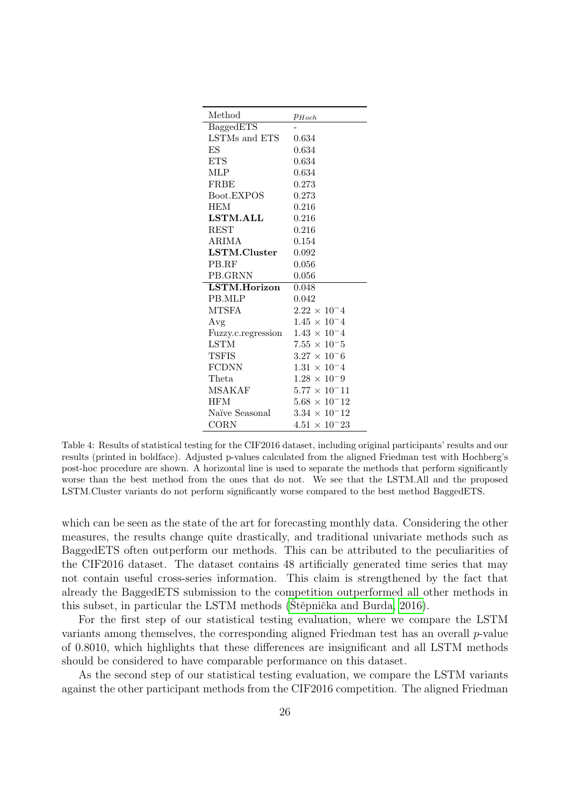| Method             | $p_{Hoch}$             |
|--------------------|------------------------|
| BaggedETS          |                        |
| LSTMs and ETS      | 0.634                  |
| ES                 | 0.634                  |
| <b>ETS</b>         | 0.634                  |
| MLP                | 0.634                  |
| FRBE               | 0.273                  |
| Boot.EXPOS         | 0.273                  |
| <b>HEM</b>         | 0.216                  |
| <b>LSTM.ALL</b>    | 0.216                  |
| <b>REST</b>        | 0.216                  |
| ARIMA              | 0.154                  |
| LSTM.Cluster       | 0.092                  |
| PB.RF              | 0.056                  |
| PB.GRNN            | 0.056                  |
| LSTM.Horizon       | 0.048                  |
| PB.MLP             | 0.042                  |
| MTSFA              | $2.22 \times 10^{-4}$  |
| Avg                | $1.45 \times 10^{-4}$  |
| Fuzzy.c.regression | $1.43 \times 10^{-4}$  |
| <b>LSTM</b>        | $7.55 \times 10^{-5}$  |
| TSFIS              | $3.27 \times 10^{-6}$  |
| <b>FCDNN</b>       | $1.31 \times 10^{-4}$  |
| Theta              | $1.28 \times 10^{-9}$  |
| MSAKAF             | $5.77 \times 10^{-11}$ |
| <b>HFM</b>         | $5.68 \times 10^{-12}$ |
| Naïve Seasonal     | $3.34 \times 10^{-12}$ |
| CORN               | $4.51 \times 10^{-23}$ |

<span id="page-25-0"></span>Table 4: Results of statistical testing for the CIF2016 dataset, including original participants' results and our results (printed in boldface). Adjusted p-values calculated from the aligned Friedman test with Hochberg's post-hoc procedure are shown. A horizontal line is used to separate the methods that perform significantly worse than the best method from the ones that do not. We see that the LSTM.All and the proposed LSTM.Cluster variants do not perform significantly worse compared to the best method BaggedETS.

which can be seen as the state of the art for forecasting monthly data. Considering the other measures, the results change quite drastically, and traditional univariate methods such as BaggedETS often outperform our methods. This can be attributed to the peculiarities of the CIF2016 dataset. The dataset contains 48 artificially generated time series that may not contain useful cross-series information. This claim is strengthened by the fact that already the BaggedETS submission to the competition outperformed all other methods in this subset, in particular the LSTM methods (Stěpnička and Burda, 2016).

For the first step of our statistical testing evaluation, where we compare the LSTM variants among themselves, the corresponding aligned Friedman test has an overall  $p$ -value of 0.8010, which highlights that these differences are insignificant and all LSTM methods should be considered to have comparable performance on this dataset.

As the second step of our statistical testing evaluation, we compare the LSTM variants against the other participant methods from the CIF2016 competition. The aligned Friedman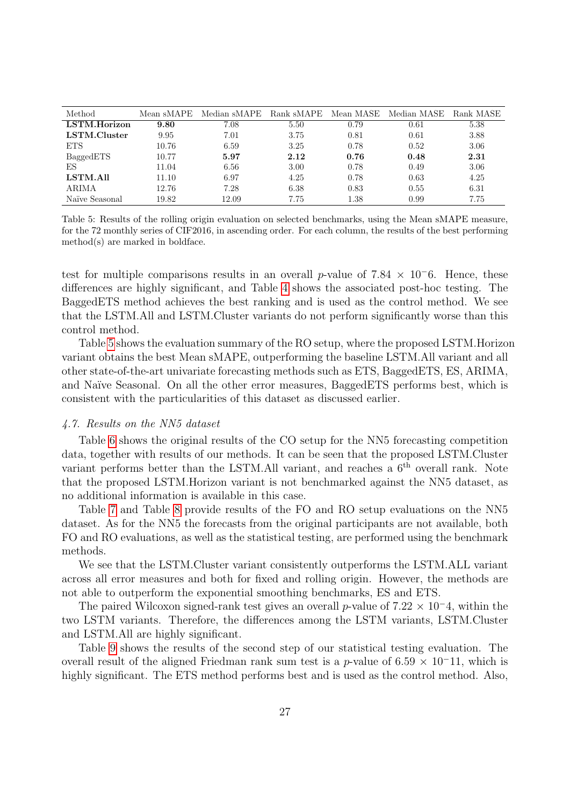| Method         | Mean sMAPE | Median sMAPE | Rank sMAPE | Mean MASE | Median MASE | Rank MASE |
|----------------|------------|--------------|------------|-----------|-------------|-----------|
| LSTM.Horizon   | 9.80       | 7.08         | 5.50       | 0.79      | 0.61        | 5.38      |
| LSTM.Cluster   | 9.95       | 7.01         | 3.75       | 0.81      | 0.61        | 3.88      |
| <b>ETS</b>     | 10.76      | 6.59         | 3.25       | 0.78      | 0.52        | 3.06      |
| BaggedETS      | 10.77      | 5.97         | 2.12       | 0.76      | 0.48        | 2.31      |
| ES             | 11.04      | 6.56         | 3.00       | 0.78      | 0.49        | 3.06      |
| LSTM.All       | 11.10      | 6.97         | 4.25       | 0.78      | 0.63        | 4.25      |
| ARIMA          | 12.76      | 7.28         | 6.38       | 0.83      | 0.55        | 6.31      |
| Naïve Seasonal | 19.82      | 12.09        | 7.75       | l.38      | 0.99        | 7.75      |

<span id="page-26-0"></span>Table 5: Results of the rolling origin evaluation on selected benchmarks, using the Mean sMAPE measure, for the 72 monthly series of CIF2016, in ascending order. For each column, the results of the best performing method(s) are marked in boldface.

test for multiple comparisons results in an overall p-value of  $7.84 \times 10^{-6}$ . Hence, these differences are highly significant, and Table [4](#page-25-0) shows the associated post-hoc testing. The BaggedETS method achieves the best ranking and is used as the control method. We see that the LSTM.All and LSTM.Cluster variants do not perform significantly worse than this control method.

Table [5](#page-26-0) shows the evaluation summary of the RO setup, where the proposed LSTM.Horizon variant obtains the best Mean sMAPE, outperforming the baseline LSTM.All variant and all other state-of-the-art univariate forecasting methods such as ETS, BaggedETS, ES, ARIMA, and Na¨ıve Seasonal. On all the other error measures, BaggedETS performs best, which is consistent with the particularities of this dataset as discussed earlier.

# 4.7. Results on the NN5 dataset

Table [6](#page-27-0) shows the original results of the CO setup for the NN5 forecasting competition data, together with results of our methods. It can be seen that the proposed LSTM.Cluster variant performs better than the LSTM.All variant, and reaches a  $6<sup>th</sup>$  overall rank. Note that the proposed LSTM.Horizon variant is not benchmarked against the NN5 dataset, as no additional information is available in this case.

Table [7](#page-27-1) and Table [8](#page-28-1) provide results of the FO and RO setup evaluations on the NN5 dataset. As for the NN5 the forecasts from the original participants are not available, both FO and RO evaluations, as well as the statistical testing, are performed using the benchmark methods.

We see that the LSTM.Cluster variant consistently outperforms the LSTM.ALL variant across all error measures and both for fixed and rolling origin. However, the methods are not able to outperform the exponential smoothing benchmarks, ES and ETS.

The paired Wilcoxon signed-rank test gives an overall p-value of  $7.22 \times 10^{-4}$ , within the two LSTM variants. Therefore, the differences among the LSTM variants, LSTM.Cluster and LSTM.All are highly significant.

Table [9](#page-28-2) shows the results of the second step of our statistical testing evaluation. The overall result of the aligned Friedman rank sum test is a p-value of  $6.59 \times 10^{-11}$ , which is highly significant. The ETS method performs best and is used as the control method. Also,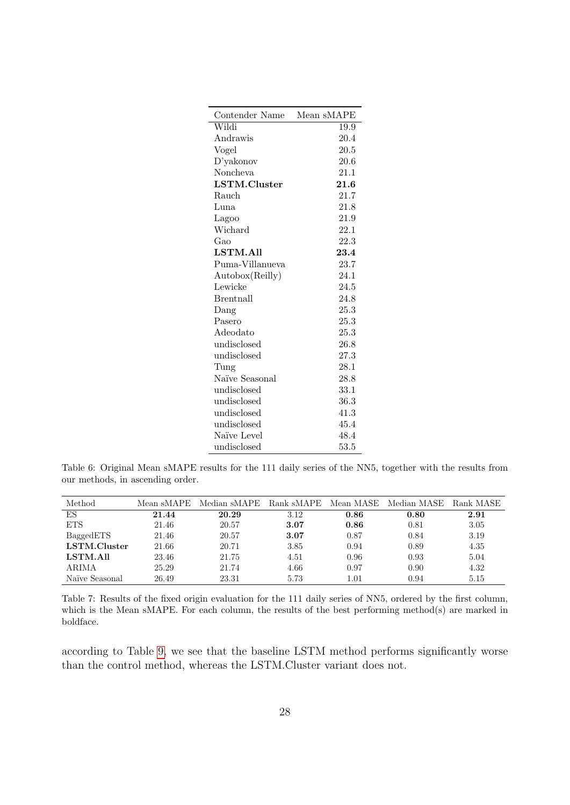| Contender Name   | Mean sMAPE |
|------------------|------------|
| Wildi            | 19.9       |
| Andrawis         | 20.4       |
| Vogel            | 20.5       |
| D'yakonov        | 20.6       |
| Noncheva         | 21.1       |
| LSTM.Cluster     | 21.6       |
| Rauch            | 21.7       |
| Luna             | 21.8       |
| Lagoo            | 21.9       |
| Wichard          | 22.1       |
| Gao              | 22.3       |
| LSTM.All         | 23.4       |
| Puma-Villanueva  | 23.7       |
| Autobox(Reilly)  | 24.1       |
| Lewicke          | 24.5       |
| <b>Brentnall</b> | 24.8       |
| Dang             | 25.3       |
| Pasero           | 25.3       |
| Adeodato         | 25.3       |
| undisclosed      | 26.8       |
| undisclosed      | 27.3       |
| Tung             | 28.1       |
| Naïve Seasonal   | 28.8       |
| undisclosed      | 33.1       |
| undisclosed      | 36.3       |
| undisclosed      | 41.3       |
| undisclosed      | 45.4       |
| Naïve Level      | 48.4       |
| undisclosed      | 53.5       |

<span id="page-27-0"></span>Table 6: Original Mean sMAPE results for the 111 daily series of the NN5, together with the results from our methods, in ascending order.

| Method         | Mean sMAPE | Median sMAPE | Rank sMAPE | Mean MASE | Median MASE | Rank MASE |
|----------------|------------|--------------|------------|-----------|-------------|-----------|
| ES             | 21.44      | 20.29        | 3.12       | 0.86      | 0.80        | 2.91      |
| <b>ETS</b>     | 21.46      | 20.57        | 3.07       | 0.86      | 0.81        | 3.05      |
| BaggedETS      | 21.46      | 20.57        | 3.07       | 0.87      | 0.84        | 3.19      |
| LSTM.Cluster   | 21.66      | 20.71        | 3.85       | 0.94      | 0.89        | 4.35      |
| LSTM.All       | 23.46      | 21.75        | 4.51       | 0.96      | 0.93        | 5.04      |
| ARIMA          | 25.29      | 21.74        | 4.66       | 0.97      | 0.90        | 4.32      |
| Naïve Seasonal | 26.49      | 23.31        | 5.73       | 1.01      | 0.94        | 5.15      |

<span id="page-27-1"></span>Table 7: Results of the fixed origin evaluation for the 111 daily series of NN5, ordered by the first column, which is the Mean sMAPE. For each column, the results of the best performing method(s) are marked in boldface.

according to Table [9,](#page-28-2) we see that the baseline LSTM method performs significantly worse than the control method, whereas the LSTM.Cluster variant does not.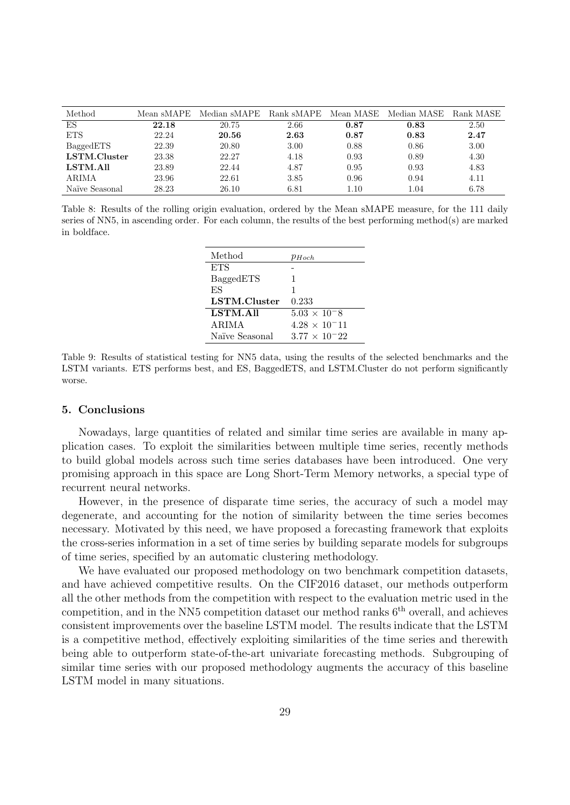| Method         | Mean sMAPE | Median sMAPE | Rank sMAPE | Mean MASE | Median MASE | Rank MASE |
|----------------|------------|--------------|------------|-----------|-------------|-----------|
| ES             | 22.18      | 20.75        | 2.66       | 0.87      | 0.83        | 2.50      |
| <b>ETS</b>     | 22.24      | 20.56        | 2.63       | 0.87      | 0.83        | 2.47      |
| BaggedETS      | 22.39      | 20.80        | 3.00       | 0.88      | 0.86        | 3.00      |
| LSTM.Cluster   | 23.38      | 22.27        | 4.18       | 0.93      | 0.89        | 4.30      |
| LSTM.All       | 23.89      | 22.44        | 4.87       | 0.95      | 0.93        | 4.83      |
| ARIMA          | 23.96      | 22.61        | 3.85       | 0.96      | 0.94        | 4.11      |
| Naïve Seasonal | 28.23      | 26.10        | 6.81       | $1.10\,$  | 1.04        | 6.78      |

<span id="page-28-1"></span>Table 8: Results of the rolling origin evaluation, ordered by the Mean sMAPE measure, for the 111 daily series of NN5, in ascending order. For each column, the results of the best performing method(s) are marked in boldface.

| Method         | $p_{Hoch}$             |
|----------------|------------------------|
| <b>ETS</b>     |                        |
| BaggedETS      | 1                      |
| ES             | 1                      |
| LSTM.Cluster   | 0.233                  |
| LSTM.All       | $5.03 \times 10^{-8}$  |
| ARIMA          | $4.28 \times 10^{-11}$ |
| Naïve Seasonal | $3.77 \times 10^{-22}$ |
|                |                        |

<span id="page-28-2"></span>Table 9: Results of statistical testing for NN5 data, using the results of the selected benchmarks and the LSTM variants. ETS performs best, and ES, BaggedETS, and LSTM.Cluster do not perform significantly worse.

## <span id="page-28-0"></span>5. Conclusions

Nowadays, large quantities of related and similar time series are available in many application cases. To exploit the similarities between multiple time series, recently methods to build global models across such time series databases have been introduced. One very promising approach in this space are Long Short-Term Memory networks, a special type of recurrent neural networks.

However, in the presence of disparate time series, the accuracy of such a model may degenerate, and accounting for the notion of similarity between the time series becomes necessary. Motivated by this need, we have proposed a forecasting framework that exploits the cross-series information in a set of time series by building separate models for subgroups of time series, specified by an automatic clustering methodology.

We have evaluated our proposed methodology on two benchmark competition datasets, and have achieved competitive results. On the CIF2016 dataset, our methods outperform all the other methods from the competition with respect to the evaluation metric used in the competition, and in the NN5 competition dataset our method ranks  $6<sup>th</sup>$  overall, and achieves consistent improvements over the baseline LSTM model. The results indicate that the LSTM is a competitive method, effectively exploiting similarities of the time series and therewith being able to outperform state-of-the-art univariate forecasting methods. Subgrouping of similar time series with our proposed methodology augments the accuracy of this baseline LSTM model in many situations.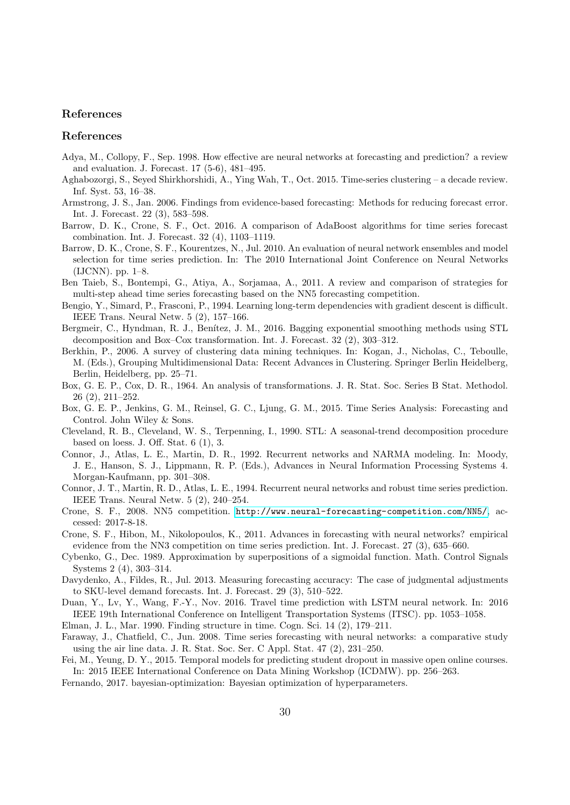#### References

#### References

- <span id="page-29-1"></span>Adya, M., Collopy, F., Sep. 1998. How effective are neural networks at forecasting and prediction? a review and evaluation. J. Forecast. 17 (5-6), 481–495.
- <span id="page-29-11"></span>Aghabozorgi, S., Seyed Shirkhorshidi, A., Ying Wah, T., Oct. 2015. Time-series clustering – a decade review. Inf. Syst. 53, 16–38.
- <span id="page-29-10"></span>Armstrong, J. S., Jan. 2006. Findings from evidence-based forecasting: Methods for reducing forecast error. Int. J. Forecast. 22 (3), 583–598.
- <span id="page-29-6"></span>Barrow, D. K., Crone, S. F., Oct. 2016. A comparison of AdaBoost algorithms for time series forecast combination. Int. J. Forecast. 32 (4), 1103–1119.
- <span id="page-29-8"></span>Barrow, D. K., Crone, S. F., Kourentzes, N., Jul. 2010. An evaluation of neural network ensembles and model selection for time series prediction. In: The 2010 International Joint Conference on Neural Networks (IJCNN). pp. 1–8.
- <span id="page-29-7"></span>Ben Taieb, S., Bontempi, G., Atiya, A., Sorjamaa, A., 2011. A review and comparison of strategies for multi-step ahead time series forecasting based on the NN5 forecasting competition.
- <span id="page-29-16"></span>Bengio, Y., Simard, P., Frasconi, P., 1994. Learning long-term dependencies with gradient descent is difficult. IEEE Trans. Neural Netw. 5 (2), 157–166.
- <span id="page-29-4"></span>Bergmeir, C., Hyndman, R. J., Benítez, J. M., 2016. Bagging exponential smoothing methods using STL decomposition and Box–Cox transformation. Int. J. Forecast. 32 (2), 303–312.
- <span id="page-29-12"></span>Berkhin, P., 2006. A survey of clustering data mining techniques. In: Kogan, J., Nicholas, C., Teboulle, M. (Eds.), Grouping Multidimensional Data: Recent Advances in Clustering. Springer Berlin Heidelberg, Berlin, Heidelberg, pp. 25–71.
- <span id="page-29-19"></span>Box, G. E. P., Cox, D. R., 1964. An analysis of transformations. J. R. Stat. Soc. Series B Stat. Methodol. 26 (2), 211–252.
- <span id="page-29-5"></span>Box, G. E. P., Jenkins, G. M., Reinsel, G. C., Ljung, G. M., 2015. Time Series Analysis: Forecasting and Control. John Wiley & Sons.
- <span id="page-29-17"></span>Cleveland, R. B., Cleveland, W. S., Terpenning, I., 1990. STL: A seasonal-trend decomposition procedure based on loess. J. Off. Stat. 6 (1), 3.
- <span id="page-29-14"></span>Connor, J., Atlas, L. E., Martin, D. R., 1992. Recurrent networks and NARMA modeling. In: Moody, J. E., Hanson, S. J., Lippmann, R. P. (Eds.), Advances in Neural Information Processing Systems 4. Morgan-Kaufmann, pp. 301–308.
- <span id="page-29-15"></span>Connor, J. T., Martin, R. D., Atlas, L. E., 1994. Recurrent neural networks and robust time series prediction. IEEE Trans. Neural Netw. 5 (2), 240–254.
- <span id="page-29-20"></span>Crone, S. F., 2008. NN5 competition. <http://www.neural-forecasting-competition.com/NN5/>, accessed: 2017-8-18.
- <span id="page-29-0"></span>Crone, S. F., Hibon, M., Nikolopoulos, K., 2011. Advances in forecasting with neural networks? empirical evidence from the NN3 competition on time series prediction. Int. J. Forecast. 27 (3), 635–660.
- <span id="page-29-2"></span>Cybenko, G., Dec. 1989. Approximation by superpositions of a sigmoidal function. Math. Control Signals Systems 2 (4), 303–314.
- <span id="page-29-21"></span>Davydenko, A., Fildes, R., Jul. 2013. Measuring forecasting accuracy: The case of judgmental adjustments to SKU-level demand forecasts. Int. J. Forecast. 29 (3), 510–522.
- <span id="page-29-9"></span>Duan, Y., Lv, Y., Wang, F.-Y., Nov. 2016. Travel time prediction with LSTM neural network. In: 2016 IEEE 19th International Conference on Intelligent Transportation Systems (ITSC). pp. 1053–1058.
- <span id="page-29-13"></span>Elman, J. L., Mar. 1990. Finding structure in time. Cogn. Sci. 14 (2), 179–211.
- <span id="page-29-18"></span>Faraway, J., Chatfield, C., Jun. 2008. Time series forecasting with neural networks: a comparative study using the air line data. J. R. Stat. Soc. Ser. C Appl. Stat. 47 (2), 231–250.
- <span id="page-29-3"></span>Fei, M., Yeung, D. Y., 2015. Temporal models for predicting student dropout in massive open online courses. In: 2015 IEEE International Conference on Data Mining Workshop (ICDMW). pp. 256–263.
- <span id="page-29-22"></span>Fernando, 2017. bayesian-optimization: Bayesian optimization of hyperparameters.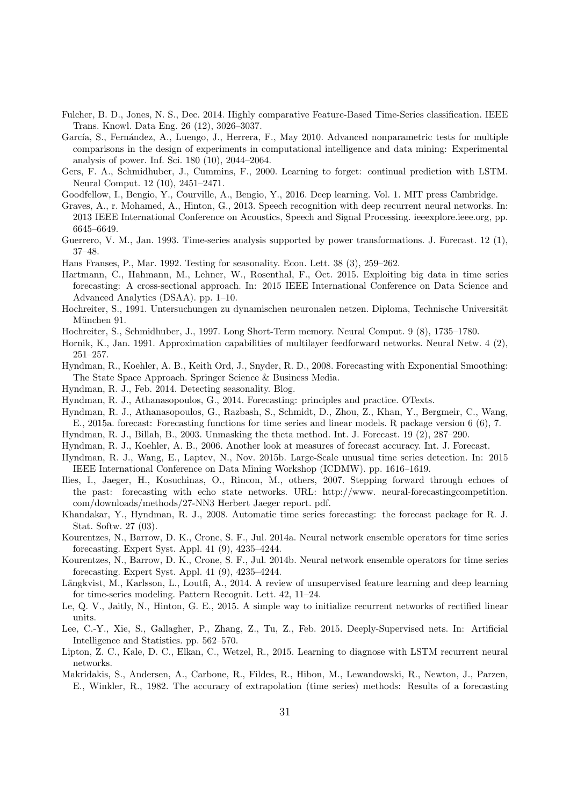- <span id="page-30-11"></span>Fulcher, B. D., Jones, N. S., Dec. 2014. Highly comparative Feature-Based Time-Series classification. IEEE Trans. Knowl. Data Eng. 26 (12), 3026–3037.
- <span id="page-30-26"></span>García, S., Fernández, A., Luengo, J., Herrera, F., May 2010. Advanced nonparametric tests for multiple comparisons in the design of experiments in computational intelligence and data mining: Experimental analysis of power. Inf. Sci. 180 (10), 2044–2064.
- <span id="page-30-17"></span>Gers, F. A., Schmidhuber, J., Cummins, F., 2000. Learning to forget: continual prediction with LSTM. Neural Comput. 12 (10), 2451–2471.
- <span id="page-30-12"></span>Goodfellow, I., Bengio, Y., Courville, A., Bengio, Y., 2016. Deep learning. Vol. 1. MIT press Cambridge.
- <span id="page-30-5"></span>Graves, A., r. Mohamed, A., Hinton, G., 2013. Speech recognition with deep recurrent neural networks. In: 2013 IEEE International Conference on Acoustics, Speech and Signal Processing. ieeexplore.ieee.org, pp. 6645–6649.
- <span id="page-30-24"></span>Guerrero, V. M., Jan. 1993. Time-series analysis supported by power transformations. J. Forecast. 12 (1), 37–48.
- <span id="page-30-22"></span>Hans Franses, P., Mar. 1992. Testing for seasonality. Econ. Lett. 38 (3), 259–262.
- <span id="page-30-3"></span>Hartmann, C., Hahmann, M., Lehner, W., Rosenthal, F., Oct. 2015. Exploiting big data in time series forecasting: A cross-sectional approach. In: 2015 IEEE International Conference on Data Science and Advanced Analytics (DSAA). pp. 1–10.
- <span id="page-30-14"></span>Hochreiter, S., 1991. Untersuchungen zu dynamischen neuronalen netzen. Diploma, Technische Universität München 91.
- <span id="page-30-15"></span>Hochreiter, S., Schmidhuber, J., 1997. Long Short-Term memory. Neural Comput. 9 (8), 1735–1780.
- <span id="page-30-4"></span>Hornik, K., Jan. 1991. Approximation capabilities of multilayer feedforward networks. Neural Netw. 4 (2), 251–257.
- <span id="page-30-7"></span>Hyndman, R., Koehler, A. B., Keith Ord, J., Snyder, R. D., 2008. Forecasting with Exponential Smoothing: The State Space Approach. Springer Science & Business Media.
- <span id="page-30-23"></span>Hyndman, R. J., Feb. 2014. Detecting seasonality. Blog.
- <span id="page-30-19"></span>Hyndman, R. J., Athanasopoulos, G., 2014. Forecasting: principles and practice. OTexts.
- <span id="page-30-20"></span>Hyndman, R. J., Athanasopoulos, G., Razbash, S., Schmidt, D., Zhou, Z., Khan, Y., Bergmeir, C., Wang, E., 2015a. forecast: Forecasting functions for time series and linear models. R package version 6 (6), 7.
- <span id="page-30-0"></span>Hyndman, R. J., Billah, B., 2003. Unmasking the theta method. Int. J. Forecast. 19 (2), 287–290.
- <span id="page-30-25"></span>Hyndman, R. J., Koehler, A. B., 2006. Another look at measures of forecast accuracy. Int. J. Forecast.
- <span id="page-30-8"></span>Hyndman, R. J., Wang, E., Laptev, N., Nov. 2015b. Large-Scale unusual time series detection. In: 2015 IEEE International Conference on Data Mining Workshop (ICDMW). pp. 1616–1619.
- <span id="page-30-1"></span>Ilies, I., Jaeger, H., Kosuchinas, O., Rincon, M., others, 2007. Stepping forward through echoes of the past: forecasting with echo state networks. URL: http://www. neural-forecastingcompetition. com/downloads/methods/27-NN3 Herbert Jaeger report. pdf.
- <span id="page-30-21"></span>Khandakar, Y., Hyndman, R. J., 2008. Automatic time series forecasting: the forecast package for R. J. Stat. Softw. 27 (03).
- <span id="page-30-2"></span>Kourentzes, N., Barrow, D. K., Crone, S. F., Jul. 2014a. Neural network ensemble operators for time series forecasting. Expert Syst. Appl. 41 (9), 4235–4244.
- <span id="page-30-9"></span>Kourentzes, N., Barrow, D. K., Crone, S. F., Jul. 2014b. Neural network ensemble operators for time series forecasting. Expert Syst. Appl. 41 (9), 4235–4244.
- <span id="page-30-16"></span>Längkvist, M., Karlsson, L., Loutfi, A., 2014. A review of unsupervised feature learning and deep learning for time-series modeling. Pattern Recognit. Lett. 42, 11–24.
- <span id="page-30-13"></span>Le, Q. V., Jaitly, N., Hinton, G. E., 2015. A simple way to initialize recurrent networks of rectified linear units.
- <span id="page-30-10"></span>Lee, C.-Y., Xie, S., Gallagher, P., Zhang, Z., Tu, Z., Feb. 2015. Deeply-Supervised nets. In: Artificial Intelligence and Statistics. pp. 562–570.
- <span id="page-30-6"></span>Lipton, Z. C., Kale, D. C., Elkan, C., Wetzel, R., 2015. Learning to diagnose with LSTM recurrent neural networks.
- <span id="page-30-18"></span>Makridakis, S., Andersen, A., Carbone, R., Fildes, R., Hibon, M., Lewandowski, R., Newton, J., Parzen, E., Winkler, R., 1982. The accuracy of extrapolation (time series) methods: Results of a forecasting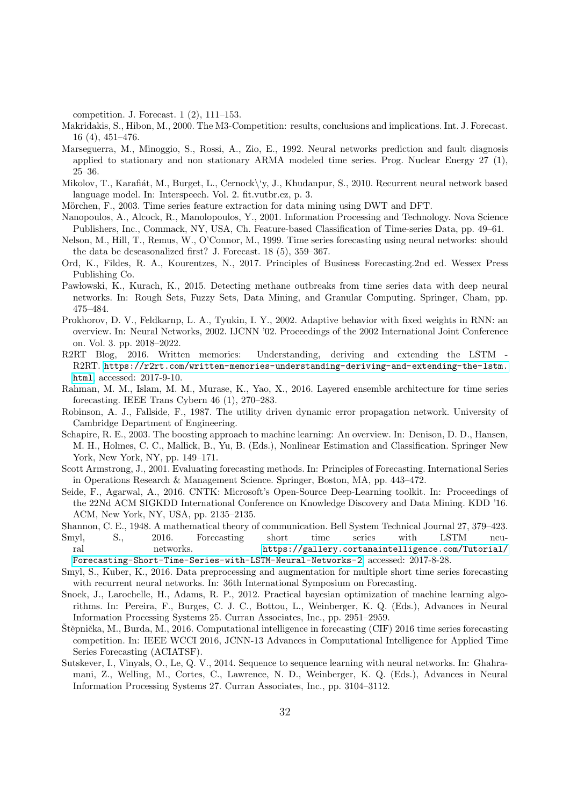competition. J. Forecast. 1 (2), 111–153.

- <span id="page-31-0"></span>Makridakis, S., Hibon, M., 2000. The M3-Competition: results, conclusions and implications. Int. J. Forecast. 16 (4), 451–476.
- <span id="page-31-17"></span>Marseguerra, M., Minoggio, S., Rossi, A., Zio, E., 1992. Neural networks prediction and fault diagnosis applied to stationary and non stationary ARMA modeled time series. Prog. Nuclear Energy 27 (1), 25–36.
- <span id="page-31-3"></span>Mikolov, T., Karafiát, M., Burget, L., Cernock\'y, J., Khudanpur, S., 2010. Recurrent neural network based language model. In: Interspeech. Vol. 2. fit.vutbr.cz, p. 3.
- <span id="page-31-11"></span>Mörchen, F., 2003. Time series feature extraction for data mining using DWT and DFT.
- <span id="page-31-10"></span>Nanopoulos, A., Alcock, R., Manolopoulos, Y., 2001. Information Processing and Technology. Nova Science Publishers, Inc., Commack, NY, USA, Ch. Feature-based Classification of Time-series Data, pp. 49–61.
- <span id="page-31-1"></span>Nelson, M., Hill, T., Remus, W., O'Connor, M., 1999. Time series forecasting using neural networks: should the data be deseasonalized first? J. Forecast. 18 (5), 359–367.
- <span id="page-31-19"></span>Ord, K., Fildes, R. A., Kourentzes, N., 2017. Principles of Business Forecasting.2nd ed. Wessex Press Publishing Co.
- <span id="page-31-5"></span>Pawlowski, K., Kurach, K., 2015. Detecting methane outbreaks from time series data with deep neural networks. In: Rough Sets, Fuzzy Sets, Data Mining, and Granular Computing. Springer, Cham, pp. 475–484.
- <span id="page-31-14"></span>Prokhorov, D. V., Feldkarnp, L. A., Tyukin, I. Y., 2002. Adaptive behavior with fixed weights in RNN: an overview. In: Neural Networks, 2002. IJCNN '02. Proceedings of the 2002 International Joint Conference on. Vol. 3. pp. 2018–2022.
- <span id="page-31-13"></span>R2RT Blog, 2016. Written memories: Understanding, deriving and extending the LSTM R2RT. [https://r2rt.com/written-memories-understanding-deriving-and-extending-the-lstm.](https://r2rt.com/written-memories-understanding-deriving-and-extending-the-lstm.html) [html](https://r2rt.com/written-memories-understanding-deriving-and-extending-the-lstm.html), accessed: 2017-9-10.
- <span id="page-31-2"></span>Rahman, M. M., Islam, M. M., Murase, K., Yao, X., 2016. Layered ensemble architecture for time series forecasting. IEEE Trans Cybern 46 (1), 270–283.
- <span id="page-31-12"></span>Robinson, A. J., Fallside, F., 1987. The utility driven dynamic error propagation network. University of Cambridge Department of Engineering.
- <span id="page-31-18"></span>Schapire, R. E., 2003. The boosting approach to machine learning: An overview. In: Denison, D. D., Hansen, M. H., Holmes, C. C., Mallick, B., Yu, B. (Eds.), Nonlinear Estimation and Classification. Springer New York, New York, NY, pp. 149–171.
- <span id="page-31-9"></span>Scott Armstrong, J., 2001. Evaluating forecasting methods. In: Principles of Forecasting. International Series in Operations Research & Management Science. Springer, Boston, MA, pp. 443–472.
- <span id="page-31-15"></span>Seide, F., Agarwal, A., 2016. CNTK: Microsoft's Open-Source Deep-Learning toolkit. In: Proceedings of the 22Nd ACM SIGKDD International Conference on Knowledge Discovery and Data Mining. KDD '16. ACM, New York, NY, USA, pp. 2135–2135.

<span id="page-31-16"></span><span id="page-31-6"></span>Shannon, C. E., 1948. A mathematical theory of communication. Bell System Technical Journal 27, 379–423.

- Smyl, S., 2016. Forecasting short time series with LSTM neural networks. [https://gallery.cortanaintelligence.com/Tutorial/](https://gallery.cortanaintelligence.com/Tutorial/ Forecasting-Short-Time-Series-with-LSTM-Neural-Networks-2) [Forecasting-Short-Time-Series-with-LSTM-Neural-Networks-2](https://gallery.cortanaintelligence.com/Tutorial/ Forecasting-Short-Time-Series-with-LSTM-Neural-Networks-2), accessed: 2017-8-28.
- <span id="page-31-8"></span>Smyl, S., Kuber, K., 2016. Data preprocessing and augmentation for multiple short time series forecasting with recurrent neural networks. In: 36th International Symposium on Forecasting.
- <span id="page-31-20"></span>Snoek, J., Larochelle, H., Adams, R. P., 2012. Practical bayesian optimization of machine learning algorithms. In: Pereira, F., Burges, C. J. C., Bottou, L., Weinberger, K. Q. (Eds.), Advances in Neural Information Processing Systems 25. Curran Associates, Inc., pp. 2951–2959.
- <span id="page-31-7"></span>Stěpnička, M., Burda, M., 2016. Computational intelligence in forecasting (CIF) 2016 time series forecasting competition. In: IEEE WCCI 2016, JCNN-13 Advances in Computational Intelligence for Applied Time Series Forecasting (ACIATSF).
- <span id="page-31-4"></span>Sutskever, I., Vinyals, O., Le, Q. V., 2014. Sequence to sequence learning with neural networks. In: Ghahramani, Z., Welling, M., Cortes, C., Lawrence, N. D., Weinberger, K. Q. (Eds.), Advances in Neural Information Processing Systems 27. Curran Associates, Inc., pp. 3104–3112.